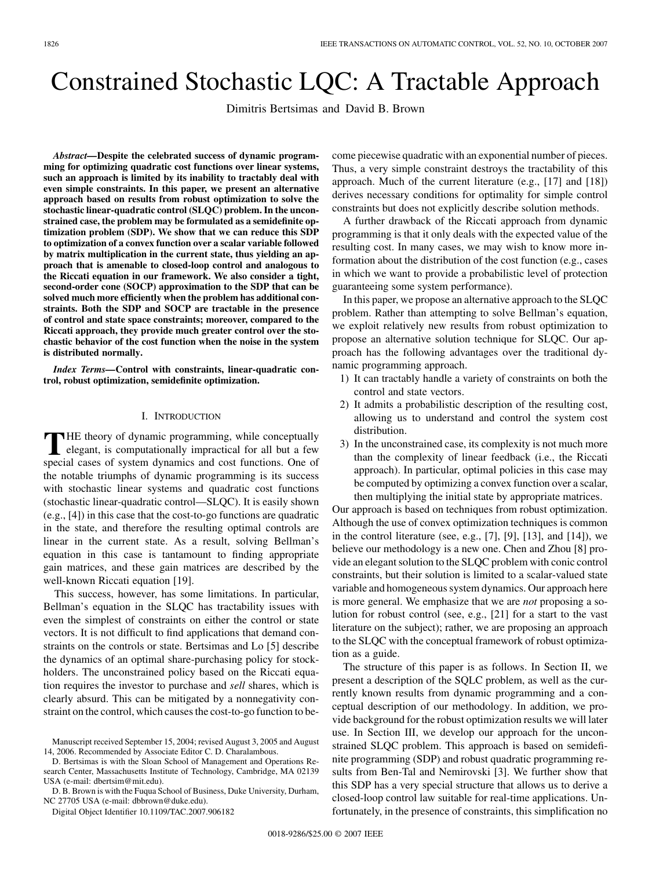# Constrained Stochastic LQC: A Tractable Approach

Dimitris Bertsimas and David B. Brown

*Abstract—***Despite the celebrated success of dynamic programming for optimizing quadratic cost functions over linear systems, such an approach is limited by its inability to tractably deal with even simple constraints. In this paper, we present an alternative approach based on results from robust optimization to solve the stochastic linear-quadratic control (SLQC) problem. In the unconstrained case, the problem may be formulated as a semidefinite optimization problem (SDP). We show that we can reduce this SDP to optimization of a convex function over a scalar variable followed by matrix multiplication in the current state, thus yielding an approach that is amenable to closed-loop control and analogous to the Riccati equation in our framework. We also consider a tight, second-order cone (SOCP) approximation to the SDP that can be solved much more efficiently when the problem has additional constraints. Both the SDP and SOCP are tractable in the presence of control and state space constraints; moreover, compared to the Riccati approach, they provide much greater control over the stochastic behavior of the cost function when the noise in the system is distributed normally.**

*Index Terms—***Control with constraints, linear-quadratic control, robust optimization, semidefinite optimization.**

#### I. INTRODUCTION

**T**HE theory of dynamic programming, while conceptually elegant, is computationally impractical for all but a few special cases of system dynamics and cost functions. One of the notable triumphs of dynamic programming is its success with stochastic linear systems and quadratic cost functions (stochastic linear-quadratic control—SLQC). It is easily shown (e.g., [4]) in this case that the cost-to-go functions are quadratic in the state, and therefore the resulting optimal controls are linear in the current state. As a result, solving Bellman's equation in this case is tantamount to finding appropriate gain matrices, and these gain matrices are described by the well-known Riccati equation [19].

This success, however, has some limitations. In particular, Bellman's equation in the SLQC has tractability issues with even the simplest of constraints on either the control or state vectors. It is not difficult to find applications that demand constraints on the controls or state. Bertsimas and Lo [5] describe the dynamics of an optimal share-purchasing policy for stockholders. The unconstrained policy based on the Riccati equation requires the investor to purchase and *sell* shares, which is clearly absurd. This can be mitigated by a nonnegativity constraint on the control, which causes the cost-to-go function to be-

D. Bertsimas is with the Sloan School of Management and Operations Research Center, Massachusetts Institute of Technology, Cambridge, MA 02139 USA (e-mail: dbertsim@mit.edu).

D. B. Brown is with the Fuqua School of Business, Duke University, Durham, NC 27705 USA (e-mail: dbbrown@duke.edu).

Digital Object Identifier 10.1109/TAC.2007.906182

come piecewise quadratic with an exponential number of pieces. Thus, a very simple constraint destroys the tractability of this approach. Much of the current literature (e.g., [17] and [18]) derives necessary conditions for optimality for simple control constraints but does not explicitly describe solution methods.

A further drawback of the Riccati approach from dynamic programming is that it only deals with the expected value of the resulting cost. In many cases, we may wish to know more information about the distribution of the cost function (e.g., cases in which we want to provide a probabilistic level of protection guaranteeing some system performance).

In this paper, we propose an alternative approach to the SLQC problem. Rather than attempting to solve Bellman's equation, we exploit relatively new results from robust optimization to propose an alternative solution technique for SLQC. Our approach has the following advantages over the traditional dynamic programming approach.

- 1) It can tractably handle a variety of constraints on both the control and state vectors.
- 2) It admits a probabilistic description of the resulting cost, allowing us to understand and control the system cost distribution.
- 3) In the unconstrained case, its complexity is not much more than the complexity of linear feedback (i.e., the Riccati approach). In particular, optimal policies in this case may be computed by optimizing a convex function over a scalar, then multiplying the initial state by appropriate matrices.

Our approach is based on techniques from robust optimization. Although the use of convex optimization techniques is common in the control literature (see, e.g., [7], [9], [13], and [14]), we believe our methodology is a new one. Chen and Zhou [8] provide an elegant solution to the SLQC problem with conic control constraints, but their solution is limited to a scalar-valued state variable and homogeneous system dynamics. Our approach here is more general. We emphasize that we are *not* proposing a solution for robust control (see, e.g., [21] for a start to the vast literature on the subject); rather, we are proposing an approach to the SLQC with the conceptual framework of robust optimization as a guide.

The structure of this paper is as follows. In Section II, we present a description of the SQLC problem, as well as the currently known results from dynamic programming and a conceptual description of our methodology. In addition, we provide background for the robust optimization results we will later use. In Section III, we develop our approach for the unconstrained SLQC problem. This approach is based on semidefinite programming (SDP) and robust quadratic programming results from Ben-Tal and Nemirovski [3]. We further show that this SDP has a very special structure that allows us to derive a closed-loop control law suitable for real-time applications. Unfortunately, in the presence of constraints, this simplification no

Manuscript received September 15, 2004; revised August 3, 2005 and August 14, 2006. Recommended by Associate Editor C. D. Charalambous.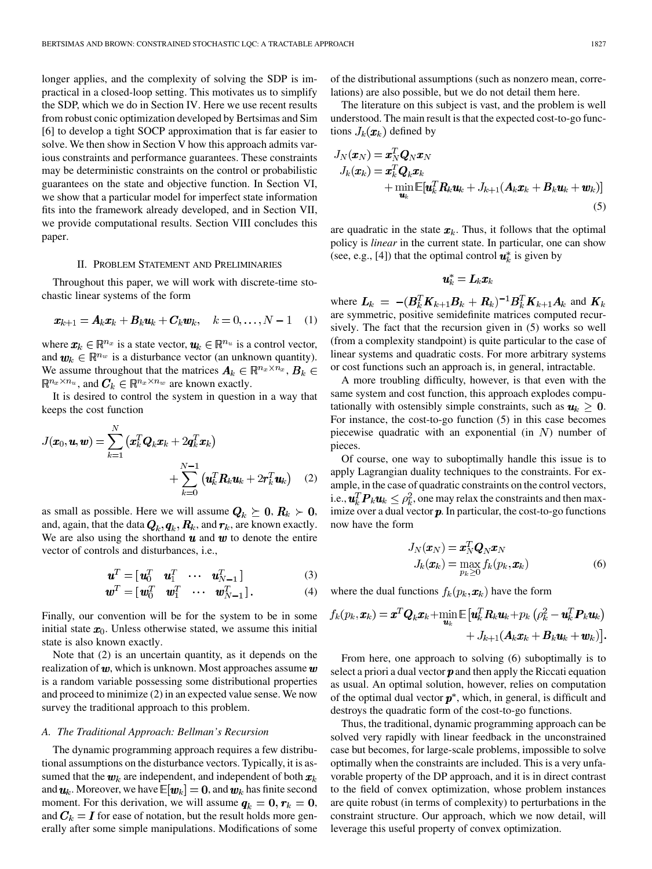longer applies, and the complexity of solving the SDP is impractical in a closed-loop setting. This motivates us to simplify the SDP, which we do in Section IV. Here we use recent results from robust conic optimization developed by Bertsimas and Sim [6] to develop a tight SOCP approximation that is far easier to solve. We then show in Section V how this approach admits various constraints and performance guarantees. These constraints may be deterministic constraints on the control or probabilistic guarantees on the state and objective function. In Section VI, we show that a particular model for imperfect state information fits into the framework already developed, and in Section VII, we provide computational results. Section VIII concludes this paper.

#### II. PROBLEM STATEMENT AND PRELIMINARIES

Throughout this paper, we will work with discrete-time stochastic linear systems of the form

$$
\boldsymbol{x}_{k+1} = \boldsymbol{A}_k \boldsymbol{x}_k + \boldsymbol{B}_k \boldsymbol{u}_k + \boldsymbol{C}_k \boldsymbol{w}_k, \quad k = 0, \dots, N - 1 \quad (1)
$$

where  $x_k \in \mathbb{R}^{n_x}$  is a state vector,  $u_k \in \mathbb{R}^{n_u}$  is a control vector, and  $w_k \in \mathbb{R}^{n_w}$  is a disturbance vector (an unknown quantity). We assume throughout that the matrices  $A_k \in \mathbb{R}^{n_x \times n_x}, B_k \in$  $\mathbb{R}^{n_x \times n_u}$ , and  $C_k \in \mathbb{R}^{n_x \times n_w}$  are known exactly.

It is desired to control the system in question in a way that keeps the cost function

$$
J(\boldsymbol{x}_0, \boldsymbol{u}, \boldsymbol{w}) = \sum_{k=1}^N (\boldsymbol{x}_k^T \boldsymbol{Q}_k \boldsymbol{x}_k + 2 \boldsymbol{q}_k^T \boldsymbol{x}_k) + \sum_{k=0}^{N-1} (\boldsymbol{u}_k^T \boldsymbol{R}_k \boldsymbol{u}_k + 2 \boldsymbol{r}_k^T \boldsymbol{u}_k)
$$
(2)

as small as possible. Here we will assume  $Q_k \succeq 0$ ,  $R_k \succ 0$ , and, again, that the data  $\mathbf{Q}_k$ ,  $\mathbf{q}_k$ ,  $\mathbf{R}_k$ , and  $\mathbf{r}_k$ , are known exactly. We are also using the shorthand  $\boldsymbol{u}$  and  $\boldsymbol{w}$  to denote the entire vector of controls and disturbances, i.e.,

$$
\mathbf{u}^T = \begin{bmatrix} \mathbf{u}_0^T & \mathbf{u}_1^T & \cdots & \mathbf{u}_{N-1}^T \end{bmatrix} \tag{3}
$$

$$
\mathbf{w}^T = \begin{bmatrix} \mathbf{w}_0^T & \mathbf{w}_1^T & \cdots & \mathbf{w}_{N-1}^T \end{bmatrix} . \tag{4}
$$

Finally, our convention will be for the system to be in some initial state  $x_0$ . Unless otherwise stated, we assume this initial state is also known exactly.

Note that (2) is an uncertain quantity, as it depends on the realization of  $w$ , which is unknown. Most approaches assume  $w$ is a random variable possessing some distributional properties and proceed to minimize (2) in an expected value sense. We now survey the traditional approach to this problem.

#### *A. The Traditional Approach: Bellman's Recursion*

The dynamic programming approach requires a few distributional assumptions on the disturbance vectors. Typically, it is assumed that the  $w_k$  are independent, and independent of both  $x_k$ and  $u_k$ . Moreover, we have  $\mathbb{E}[w_k] = 0$ , and  $w_k$  has finite second moment. For this derivation, we will assume  $q_k = 0, r_k = 0$ , and  $C_k = I$  for ease of notation, but the result holds more generally after some simple manipulations. Modifications of some of the distributional assumptions (such as nonzero mean, correlations) are also possible, but we do not detail them here.

The literature on this subject is vast, and the problem is well understood. The main result is that the expected cost-to-go functions  $J_k(\boldsymbol{x}_k)$  defined by

$$
J_N(\boldsymbol{x}_N) = \boldsymbol{x}_N^T \boldsymbol{Q}_N \boldsymbol{x}_N J_k(\boldsymbol{x}_k) = \boldsymbol{x}_k^T \boldsymbol{Q}_k \boldsymbol{x}_k + \min_{\boldsymbol{u}_k} \mathbb{E}[\boldsymbol{u}_k^T \boldsymbol{R}_k \boldsymbol{u}_k + J_{k+1}(\boldsymbol{A}_k \boldsymbol{x}_k + \boldsymbol{B}_k \boldsymbol{u}_k + \boldsymbol{w}_k)]
$$
(5)

are quadratic in the state  $x_k$ . Thus, it follows that the optimal policy is *linear* in the current state. In particular, one can show (see, e.g., [4]) that the optimal control  $u_k^*$  is given by

$$
\boldsymbol{u}^*_k = \boldsymbol{L}_k \boldsymbol{x}_k
$$

where  $L_k = -(B_k^T K_{k+1} B_k + R_k)^{-1} B_k^T K_{k+1} A_k$  and  $K_k$ are symmetric, positive semidefinite matrices computed recursively. The fact that the recursion given in (5) works so well (from a complexity standpoint) is quite particular to the case of linear systems and quadratic costs. For more arbitrary systems or cost functions such an approach is, in general, intractable.

A more troubling difficulty, however, is that even with the same system and cost function, this approach explodes computationally with ostensibly simple constraints, such as  $u_k \geq 0$ . For instance, the cost-to-go function (5) in this case becomes piecewise quadratic with an exponential (in  $N$ ) number of pieces.

Of course, one way to suboptimally handle this issue is to apply Lagrangian duality techniques to the constraints. For example, in the case of quadratic constraints on the control vectors, i.e.,  $\mathbf{u}_k^T \mathbf{P}_k \mathbf{u}_k \leq \rho_k^2$ , one may relax the constraints and then maximize over a dual vector  $\boldsymbol{p}$ . In particular, the cost-to-go functions now have the form

$$
J_N(\boldsymbol{x}_N) = \boldsymbol{x}_N^T \boldsymbol{Q}_N \boldsymbol{x}_N J_k(\boldsymbol{x}_k) = \max_{p_k > 0} f_k(p_k, \boldsymbol{x}_k)
$$
(6)

where the dual functions  $f_k(p_k, x_k)$  have the form

$$
f_k(p_k, \boldsymbol{x}_k) = \boldsymbol{x}^T \boldsymbol{Q}_k \boldsymbol{x}_k + \min_{\boldsymbol{u}_k} \mathbb{E} \big[ \boldsymbol{u}_k^T \boldsymbol{R}_k \boldsymbol{u}_k + p_k \left( \rho_k^2 - \boldsymbol{u}_k^T \boldsymbol{P}_k \boldsymbol{u}_k \right) \\ + J_{k+1} (\boldsymbol{A}_k \boldsymbol{x}_k + \boldsymbol{B}_k \boldsymbol{u}_k + \boldsymbol{w}_k) \big].
$$

From here, one approach to solving (6) suboptimally is to select a priori a dual vector  $\boldsymbol{p}$  and then apply the Riccati equation as usual. An optimal solution, however, relies on computation of the optimal dual vector  $p^*$ , which, in general, is difficult and destroys the quadratic form of the cost-to-go functions.

Thus, the traditional, dynamic programming approach can be solved very rapidly with linear feedback in the unconstrained case but becomes, for large-scale problems, impossible to solve optimally when the constraints are included. This is a very unfavorable property of the DP approach, and it is in direct contrast to the field of convex optimization, whose problem instances are quite robust (in terms of complexity) to perturbations in the constraint structure. Our approach, which we now detail, will leverage this useful property of convex optimization.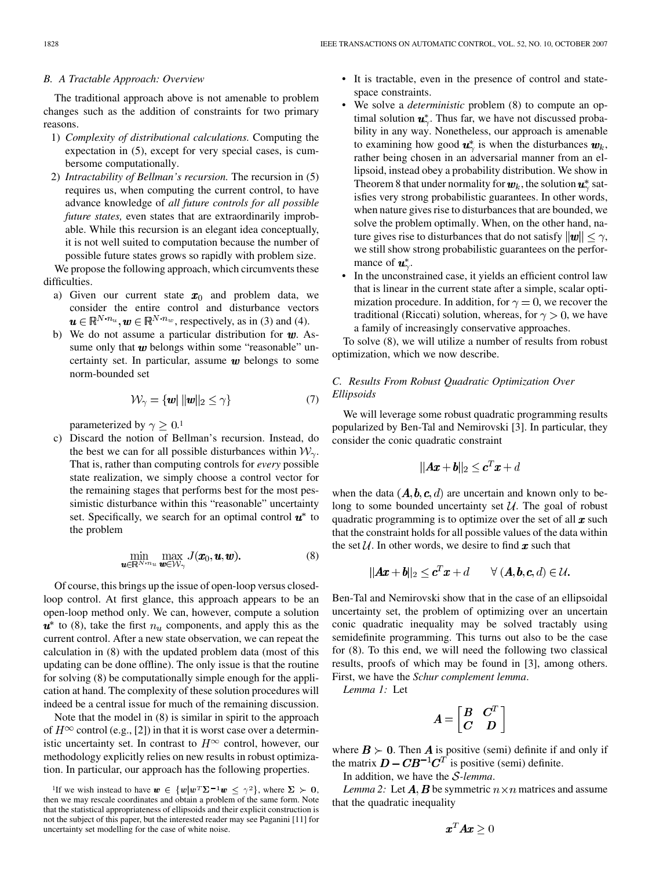# *B. A Tractable Approach: Overview*

The traditional approach above is not amenable to problem changes such as the addition of constraints for two primary reasons.

- 1) *Complexity of distributional calculations.* Computing the expectation in (5), except for very special cases, is cumbersome computationally.
- 2) *Intractability of Bellman's recursion.* The recursion in (5) requires us, when computing the current control, to have advance knowledge of *all future controls for all possible future states,* even states that are extraordinarily improbable. While this recursion is an elegant idea conceptually, it is not well suited to computation because the number of possible future states grows so rapidly with problem size.

We propose the following approach, which circumvents these difficulties.

- a) Given our current state  $x_0$  and problem data, we consider the entire control and disturbance vectors  $\mathbf{u} \in \mathbb{R}^{N \cdot n_u}, \mathbf{w} \in \mathbb{R}^{N \cdot n_w}$ , respectively, as in (3) and (4).
- b) We do not assume a particular distribution for  $w$ . Assume only that  $w$  belongs within some "reasonable" uncertainty set. In particular, assume  $w$  belongs to some norm-bounded set

$$
\mathcal{W}_{\gamma} = \{\mathbf{w} | \|\mathbf{w}\|_2 \leq \gamma\} \tag{7}
$$

parameterized by  $\gamma \geq 0.1$ 

c) Discard the notion of Bellman's recursion. Instead, do the best we can for all possible disturbances within  $W_{\gamma}$ . That is, rather than computing controls for *every* possible state realization, we simply choose a control vector for the remaining stages that performs best for the most pessimistic disturbance within this "reasonable" uncertainty set. Specifically, we search for an optimal control  $u^*$  to the problem

$$
\min_{\boldsymbol{u}\in\mathbb{R}^{N\cdot n_u}}\max_{\boldsymbol{w}\in\mathcal{W}_{\gamma}}J(\boldsymbol{x}_0,\boldsymbol{u},\boldsymbol{w}).
$$
\n(8)

Of course, this brings up the issue of open-loop versus closedloop control. At first glance, this approach appears to be an open-loop method only. We can, however, compute a solution  $u^*$  to (8), take the first  $n_u$  components, and apply this as the current control. After a new state observation, we can repeat the calculation in (8) with the updated problem data (most of this updating can be done offline). The only issue is that the routine for solving (8) be computationally simple enough for the application at hand. The complexity of these solution procedures will indeed be a central issue for much of the remaining discussion.

Note that the model in (8) is similar in spirit to the approach of  $H^\infty$  control (e.g., [2]) in that it is worst case over a deterministic uncertainty set. In contrast to  $H^{\infty}$  control, however, our methodology explicitly relies on new results in robust optimization. In particular, our approach has the following properties.

- It is tractable, even in the presence of control and statespace constraints.
- We solve a *deterministic* problem (8) to compute an optimal solution  $\mathbf{u}^*_{\gamma}$ . Thus far, we have not discussed probability in any way. Nonetheless, our approach is amenable to examining how good  $\mathbf{u}^*_{\gamma}$  is when the disturbances  $\mathbf{w}_k$ , rather being chosen in an adversarial manner from an ellipsoid, instead obey a probability distribution. We show in Theorem 8 that under normality for  $w_k$ , the solution  $u^*_{\gamma}$  satisfies very strong probabilistic guarantees. In other words, when nature gives rise to disturbances that are bounded, we solve the problem optimally. When, on the other hand, nature gives rise to disturbances that do not satisfy  $||w|| < \gamma$ , we still show strong probabilistic guarantees on the performance of  $u^*_{\gamma}$ .
- In the unconstrained case, it yields an efficient control law that is linear in the current state after a simple, scalar optimization procedure. In addition, for  $\gamma = 0$ , we recover the traditional (Riccati) solution, whereas, for  $\gamma > 0$ , we have a family of increasingly conservative approaches.

To solve (8), we will utilize a number of results from robust optimization, which we now describe.

# *C. Results From Robust Quadratic Optimization Over Ellipsoids*

We will leverage some robust quadratic programming results popularized by Ben-Tal and Nemirovski [3]. In particular, they consider the conic quadratic constraint

$$
\|\mathbf{A}\mathbf{x} + \mathbf{b}\|_2 \leq \mathbf{c}^T \mathbf{x} + d
$$

when the data  $(A, b, c, d)$  are uncertain and known only to belong to some bounded uncertainty set  $U$ . The goal of robust quadratic programming is to optimize over the set of all  $x$  such that the constraint holds for all possible values of the data within the set  $U$ . In other words, we desire to find x such that

$$
||A\boldsymbol{x} + \boldsymbol{b}||_2 \leq \boldsymbol{c}^T \boldsymbol{x} + d \qquad \forall (\boldsymbol{A}, \boldsymbol{b}, \boldsymbol{c}, d) \in \mathcal{U}.
$$

Ben-Tal and Nemirovski show that in the case of an ellipsoidal uncertainty set, the problem of optimizing over an uncertain conic quadratic inequality may be solved tractably using semidefinite programming. This turns out also to be the case for (8). To this end, we will need the following two classical results, proofs of which may be found in [3], among others. First, we have the *Schur complement lemma*.

*Lemma 1:* Let

$$
\boldsymbol{A} = \begin{bmatrix} \boldsymbol{B} & \boldsymbol{C}^T \\ \boldsymbol{C} & \boldsymbol{D} \end{bmatrix}
$$

where  $B \succ 0$ . Then **A** is positive (semi) definite if and only if the matrix  $\mathbf{D} - \mathbf{C} \mathbf{B}^{-1} \mathbf{C}^T$  is positive (semi) definite.

In addition, we have the *S*-lemma.

*Lemma 2:* Let  $A$ ,  $B$  be symmetric  $n \times n$  matrices and assume that the quadratic inequality

$$
\boldsymbol{x}^T \boldsymbol{A} \boldsymbol{x} \geq 0
$$

<sup>&</sup>lt;sup>1</sup>If we wish instead to have  $w \in \{w|w^T\Sigma^{-1}w \leq \gamma^2\}$ , where  $\Sigma \succ 0$ , then we may rescale coordinates and obtain a problem of the same form. Note that the statistical appropriateness of ellipsoids and their explicit construction is not the subject of this paper, but the interested reader may see Paganini [11] for uncertainty set modelling for the case of white noise.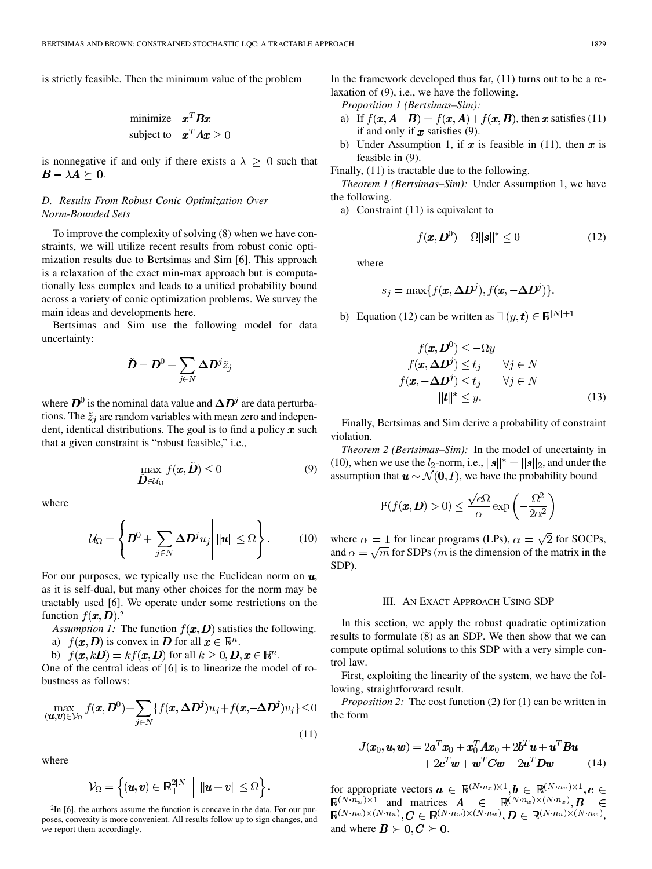is strictly feasible. Then the minimum value of the problem

$$
\begin{array}{ll}\text{minimize} & \boldsymbol{x}^T \boldsymbol{B} \boldsymbol{x} \\ \text{subject to} & \boldsymbol{x}^T \boldsymbol{A} \boldsymbol{x} \geq 0 \end{array}
$$

is nonnegative if and only if there exists a  $\lambda \geq 0$  such that  $B - \lambda A \succeq 0.$ 

# *D. Results From Robust Conic Optimization Over Norm-Bounded Sets*

To improve the complexity of solving (8) when we have constraints, we will utilize recent results from robust conic optimization results due to Bertsimas and Sim [6]. This approach is a relaxation of the exact min-max approach but is computationally less complex and leads to a unified probability bound across a variety of conic optimization problems. We survey the main ideas and developments here.

Bertsimas and Sim use the following model for data uncertainty:

$$
\tilde{\bm{D}} = \bm{D}^0 + \sum_{j \in N} \bm{\Delta D}^j \tilde{z}_j
$$

where  $D^0$  is the nominal data value and  $\Delta D^j$  are data perturbations. The  $\tilde{z}_i$  are random variables with mean zero and independent, identical distributions. The goal is to find a policy  $\boldsymbol{x}$  such that a given constraint is "robust feasible," i.e.,

$$
\max_{\tilde{\boldsymbol{D}} \in \mathcal{U}_{\Omega}} f(\boldsymbol{x}, \tilde{\boldsymbol{D}}) \le 0 \tag{9}
$$

where

$$
\mathcal{U}_{\Omega} = \left\{ D^{0} + \sum_{j \in N} \Delta D^{j} u_{j} \middle| ||\mathbf{u}|| \leq \Omega \right\}.
$$
 (10)

For our purposes, we typically use the Euclidean norm on  $u$ . as it is self-dual, but many other choices for the norm may be tractably used [6]. We operate under some restrictions on the function  $f(x, D)$ .<sup>2</sup>

- *Assumption 1:* The function  $f(x, D)$  satisfies the following.
- a)  $f(x, D)$  is convex in D for all  $x \in \mathbb{R}^n$ .
- b)  $f(\mathbf{x}, kD) = kf(\mathbf{x}, D)$  for all  $k \geq 0, D, \mathbf{x} \in \mathbb{R}^n$ .

One of the central ideas of [6] is to linearize the model of robustness as follows:

$$
\max_{(\mathbf{u},\mathbf{v}) \in \mathcal{V}_{\Omega}} f(\mathbf{x},\mathbf{D}^0) + \sum_{j \in \mathcal{N}} \{ f(\mathbf{x}, \Delta \mathbf{D}^j) u_j + f(\mathbf{x}, -\Delta \mathbf{D}^j) v_j \} \le 0
$$
\n(11)

where

$$
\mathcal{V}_{\Omega} = \left\{ (\boldsymbol{u}, \boldsymbol{v}) \in \mathbb{R}_{+}^{2|N|} \; \Big| \; \| \boldsymbol{u} + \boldsymbol{v} \| \leq \Omega \right\}.
$$

 $2$ In [6], the authors assume the function is concave in the data. For our purposes, convexity is more convenient. All results follow up to sign changes, and we report them accordingly.

In the framework developed thus far, (11) turns out to be a relaxation of (9), i.e., we have the following.

- *Proposition 1 (Bertsimas–Sim):*
- a) If  $f(x, A+B) = f(x, A) + f(x, B)$ , then x satisfies (11) if and only if  $x$  satisfies (9).
- b) Under Assumption 1, if  $x$  is feasible in (11), then  $x$  is feasible in (9).

Finally, (11) is tractable due to the following.

*Theorem 1 (Bertsimas–Sim):* Under Assumption 1, we have the following.

a) Constraint (11) is equivalent to

$$
f(\boldsymbol{x}, \boldsymbol{D}^0) + \Omega ||\boldsymbol{s}||^* \le 0 \tag{12}
$$

where

$$
s_j = \max\{f(\pmb{x}, \pmb{\Delta}\pmb{D}^j), f(\pmb{x}, -\pmb{\Delta}\pmb{D}^j)\}.
$$

b) Equation (12) can be written as  $\exists (y, t) \in \mathbb{R}^{|N|+1}$ 

$$
f(\mathbf{x}, \mathbf{D}^0) \le -\Omega y
$$
  
\n
$$
f(\mathbf{x}, \Delta \mathbf{D}^j) \le t_j \qquad \forall j \in N
$$
  
\n
$$
f(\mathbf{x}, -\Delta \mathbf{D}^j) \le t_j \qquad \forall j \in N
$$
  
\n
$$
||\mathbf{t}||^* \le y.
$$
 (13)

Finally, Bertsimas and Sim derive a probability of constraint violation.

*Theorem 2 (Bertsimas–Sim):* In the model of uncertainty in (10), when we use the  $l_2$ -norm, i.e.,  $||\mathbf{s}||^* = ||\mathbf{s}||_2$ , and under the assumption that  $u \sim \mathcal{N}(0, I)$ , we have the probability bound

$$
\mathbb{P}(f(\pmb{x},\pmb{D})>0) \le \frac{\sqrt{e}\Omega}{\alpha} \exp\left(-\frac{\Omega^2}{2\alpha^2}\right)
$$

where  $\alpha = 1$  for linear programs (LPs),  $\alpha = \sqrt{2}$  for SOCPs, and  $\alpha = \sqrt{m}$  for SDPs (*m* is the dimension of the matrix in the SDP).

#### III. AN EXACT APPROACH USING SDP

In this section, we apply the robust quadratic optimization results to formulate (8) as an SDP. We then show that we can compute optimal solutions to this SDP with a very simple control law.

First, exploiting the linearity of the system, we have the following, straightforward result.

*Proposition 2:* The cost function (2) for (1) can be written in the form

$$
J(\boldsymbol{x}_0, \boldsymbol{u}, \boldsymbol{w}) = 2\boldsymbol{a}^T \boldsymbol{x}_0 + \boldsymbol{x}_0^T A \boldsymbol{x}_0 + 2\boldsymbol{b}^T \boldsymbol{u} + \boldsymbol{u}^T B \boldsymbol{u}
$$

$$
+ 2\boldsymbol{c}^T \boldsymbol{w} + \boldsymbol{w}^T C \boldsymbol{w} + 2\boldsymbol{u}^T D \boldsymbol{w}
$$
(14)

for appropriate vectors  $\boldsymbol{a} \in \mathbb{R}^{(N \cdot n_x) \times 1}, \boldsymbol{b} \in \mathbb{R}^{(N \cdot n_u) \times 1}, \boldsymbol{c} \in$ and matrices , and where  $B \succ 0, C \succeq 0$ .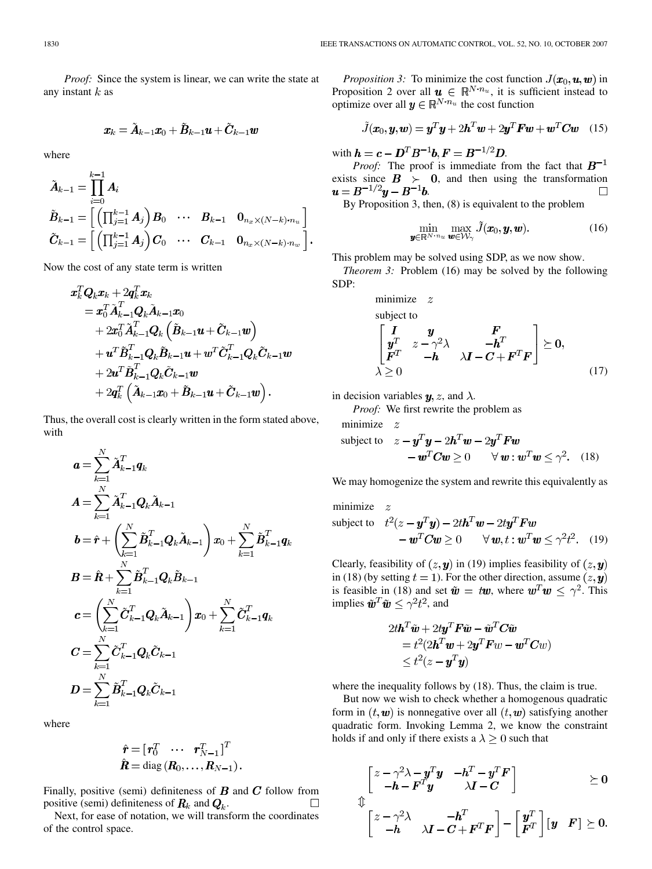*Proof:* Since the system is linear, we can write the state at any instant  $k$  as

$$
\pmb{x}_k = \tilde{\pmb{A}}_{k-1}\pmb{x}_0 + \tilde{\pmb{B}}_{k-1}\pmb{u} + \tilde{\pmb{C}}_{k-1}\pmb{w}
$$

where

$$
\tilde{A}_{k-1} = \prod_{i=0}^{k-1} A_i
$$
\n
$$
\tilde{B}_{k-1} = \left[ \left( \prod_{j=1}^{k-1} A_j \right) B_0 \cdots B_{k-1} \quad 0_{n_x \times (N-k) \cdot n_u} \right]
$$
\n
$$
\tilde{C}_{k-1} = \left[ \left( \prod_{j=1}^{k-1} A_j \right) C_0 \cdots C_{k-1} \quad 0_{n_x \times (N-k) \cdot n_w} \right].
$$

Now the cost of any state term is written

$$
\begin{aligned} &\bm{x}_k^T\bm{Q}_k\bm{x}_k+2\bm{q}_k^T\bm{x}_k\\&=\bm{x}_0^T\tilde{\bm{A}}_{k-1}^T\bm{Q}_k\tilde{\bm{A}}_{k-1}\bm{x}_0\\&+2\bm{x}_0^T\tilde{\bm{A}}_{k-1}^T\bm{Q}_k\left(\tilde{\bm{B}}_{k-1}\bm{u}+\tilde{\bm{C}}_{k-1}\bm{w}\right)\\&+\bm{u}^T\tilde{\bm{B}}_{k-1}^T\bm{Q}_k\tilde{\bm{B}}_{k-1}\bm{u}+\bm{w}^T\tilde{\bm{C}}_{k-1}^T\bm{Q}_k\tilde{\bm{C}}_{k-1}\bm{w}\\&+2\bm{u}^T\tilde{\bm{B}}_{k-1}^T\bm{Q}_k\tilde{\bm{C}}_{k-1}\bm{w}\\&+2\bm{q}_k^T\left(\tilde{\bm{A}}_{k-1}\bm{x}_0+\tilde{\bm{B}}_{k-1}\bm{u}+\tilde{\bm{C}}_{k-1}\bm{w}\right).\end{aligned}
$$

Thus, the overall cost is clearly written in the form stated above, with

$$
a = \sum_{k=1}^{N} \tilde{A}_{k-1}^{T} q_k
$$
  
\n
$$
A = \sum_{k=1}^{N} \tilde{A}_{k-1}^{T} Q_k \tilde{A}_{k-1}
$$
  
\n
$$
b = \hat{r} + \left(\sum_{k=1}^{N} \tilde{B}_{k-1}^{T} Q_k \tilde{A}_{k-1}\right) x_0 + \sum_{k=1}^{N} \tilde{B}_{k-1}^{T} q_k
$$
  
\n
$$
B = \hat{R} + \sum_{k=1}^{N} \tilde{B}_{k-1}^{T} Q_k \tilde{B}_{k-1}
$$
  
\n
$$
c = \left(\sum_{k=1}^{N} \tilde{C}_{k-1}^{T} Q_k \tilde{A}_{k-1}\right) x_0 + \sum_{k=1}^{N} \tilde{C}_{k-1}^{T} q_k
$$
  
\n
$$
C = \sum_{k=1}^{N} \tilde{C}_{k-1}^{T} Q_k \tilde{C}_{k-1}
$$
  
\n
$$
D = \sum_{k=1}^{N} \tilde{B}_{k-1}^{T} Q_k \tilde{C}_{k-1}
$$

where

$$
\hat{\boldsymbol{r}} = \begin{bmatrix} \boldsymbol{r}_0^T & \cdots & \boldsymbol{r}_{N-1}^T \end{bmatrix}^T \n\hat{\boldsymbol{R}} = \text{diag}(\boldsymbol{R}_0, \ldots, \boldsymbol{R}_{N-1}).
$$

Finally, positive (semi) definiteness of  $B$  and  $C$  follow from positive (semi) definiteness of  $R_k$  and  $Q_k$ .  $\Box$ 

Next, for ease of notation, we will transform the coordinates of the control space.

*Proposition 3:* To minimize the cost function  $J(\mathbf{x}_0, \mathbf{u}, \mathbf{w})$  in Proposition 2 over all  $\boldsymbol{u} \in \mathbb{R}^{N \cdot n_u}$ , it is sufficient instead to optimize over all  $y \in \mathbb{R}^{N \cdot n_u}$  the cost function

$$
\widetilde{J}(\boldsymbol{x}_0, \boldsymbol{y}, \boldsymbol{w}) = \boldsymbol{y}^T \boldsymbol{y} + 2\boldsymbol{h}^T \boldsymbol{w} + 2\boldsymbol{y}^T \boldsymbol{F} \boldsymbol{w} + \boldsymbol{w}^T \boldsymbol{C} \boldsymbol{w} \quad (15)
$$

with  $h = c - D^T B^{-1} b$ ,  $F = B^{-1/2} D$ .

*Proof:* The proof is immediate from the fact that  $B^{-1}$ exists since  $B > 0$ , and then using the transformation  $u = B^{-1/2}y - B^{-1}b.$  $\Box$ 

By Proposition 3, then, (8) is equivalent to the problem

$$
\min_{\boldsymbol{y}\in\mathbb{R}^{N\cdot n_u}}\max_{\boldsymbol{w}\in\mathcal{W}_{\gamma}}\tilde{J}(\boldsymbol{x}_0,\boldsymbol{y},\boldsymbol{w}).
$$
\n(16)

This problem may be solved using SDP, as we now show.

*Theorem 3:* Problem (16) may be solved by the following SDP:

minimize z  
\nsubject to  
\n
$$
\begin{bmatrix}\nI & y & F \\
y^T & z - \gamma^2 \lambda & -h^T \\
F^T & -h & \lambda I - C + F^T F\n\end{bmatrix} \succeq 0,
$$
\n $\lambda \geq 0$ \n(17)

in decision variables  $y, z$ , and  $\lambda$ .

*Proof:* We first rewrite the problem as

 $minimize z$ 

subject to 
$$
z - y^T y - 2h^T w - 2y^T F w
$$
  
 $- w^T C w \ge 0 \quad \forall w : w^T w \le \gamma^2.$  (18)

We may homogenize the system and rewrite this equivalently as

minimize  $z$ 

subject to 
$$
t^2(z - \mathbf{y}^T \mathbf{y}) - 2t\mathbf{h}^T \mathbf{w} - 2t\mathbf{y}^T \mathbf{F} \mathbf{w}
$$
  
\n $- \mathbf{w}^T \mathbf{C} \mathbf{w} \ge 0 \quad \forall \mathbf{w}, t : \mathbf{w}^T \mathbf{w} \le \gamma^2 t^2.$  (19)

Clearly, feasibility of  $(z, y)$  in (19) implies feasibility of  $(z, y)$ in (18) (by setting  $t = 1$ ). For the other direction, assume  $(z, y)$ is feasible in (18) and set  $\tilde{\mathbf{w}} = tw$ , where  $\mathbf{w}^T \mathbf{w} \leq \gamma^2$ . This implies  $\tilde{\mathbf{w}}^T \tilde{\mathbf{w}} \leq \gamma^2 t^2$ , and

$$
2th^T\tilde{\mathbf{w}} + 2t\mathbf{y}^T\mathbf{F}\tilde{\mathbf{w}} - \tilde{\mathbf{w}}^T\mathbf{C}\tilde{\mathbf{w}}
$$
  
=  $t^2(2\mathbf{h}^T\mathbf{w} + 2\mathbf{y}^T\mathbf{F}w - \mathbf{w}^T\mathbf{C}w)$   
 $\leq t^2(z - \mathbf{y}^T\mathbf{y})$ 

where the inequality follows by (18). Thus, the claim is true.

But now we wish to check whether a homogenous quadratic form in  $(t, w)$  is nonnegative over all  $(t, w)$  satisfying another quadratic form. Invoking Lemma 2, we know the constraint holds if and only if there exists a  $\lambda > 0$  such that

$$
\begin{aligned} &\begin{bmatrix} z-\gamma^2\lambda-\bm{y}^T\bm{y} & -\bm{h}^T-\bm{y}^T\bm{F} \\ -\bm{h}-\bm{F}^T\bm{y} & \lambda\bm{I}-\bm{C} \end{bmatrix} &\succeq 0\\ &\begin{bmatrix} z-\gamma^2\lambda & -\bm{h}^T \\ -\bm{h} & \lambda\bm{I}-\bm{C}+\bm{F}^T\bm{F} \end{bmatrix} -\begin{bmatrix} \bm{y}^T \\ \bm{F}^T \end{bmatrix} [\bm{y} \hspace{0.15cm} \bm{F}] \succeq \bm{0}. \end{aligned}
$$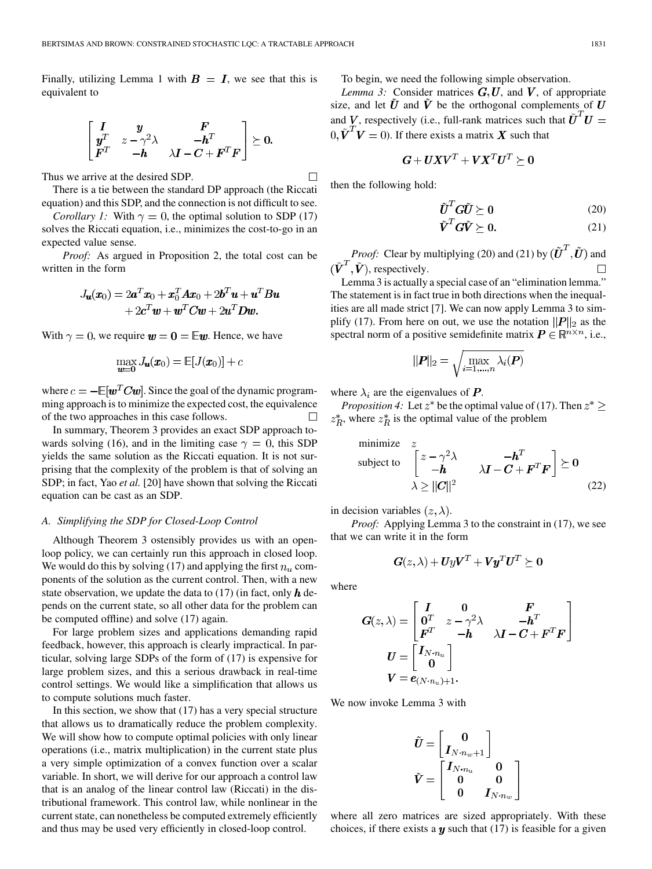Finally, utilizing Lemma 1 with  $B = I$ , we see that this is equivalent to

$$
\begin{bmatrix} I & y & F \\ y^T & z - \gamma^2 \lambda & -h^T \\ F^T & -h & \lambda I - C + F^T F \end{bmatrix} \succeq 0.
$$

Thus we arrive at the desired SDP.

There is a tie between the standard DP approach (the Riccati equation) and this SDP, and the connection is not difficult to see.

*Corollary 1:* With  $\gamma = 0$ , the optimal solution to SDP (17) solves the Riccati equation, i.e., minimizes the cost-to-go in an expected value sense.

*Proof:* As argued in Proposition 2, the total cost can be written in the form

$$
J_{\boldsymbol{u}}(\boldsymbol{x}_0) = 2\boldsymbol{a}^T\boldsymbol{x}_0 + \boldsymbol{x}_0^T A\boldsymbol{x}_0 + 2\boldsymbol{b}^T\boldsymbol{u} + \boldsymbol{u}^T B\boldsymbol{u} + 2\boldsymbol{c}^T\boldsymbol{w} + \boldsymbol{w}^T \boldsymbol{C}\boldsymbol{w} + 2\boldsymbol{u}^T D\boldsymbol{w}.
$$

With  $\gamma = 0$ , we require  $\mathbf{w} = \mathbf{0} = \mathbb{E} \mathbf{w}$ . Hence, we have

$$
\max_{\boldsymbol{w}=0} J_{\boldsymbol{u}}(\boldsymbol{x}_0) = \mathbb{E}[J(\boldsymbol{x}_0)] + c
$$

where  $c = -E[w^T Cw]$ . Since the goal of the dynamic programming approach is to minimize the expected cost, the equivalence of the two approaches in this case follows.  $\Box$ 

In summary, Theorem 3 provides an exact SDP approach towards solving (16), and in the limiting case  $\gamma = 0$ , this SDP yields the same solution as the Riccati equation. It is not surprising that the complexity of the problem is that of solving an SDP; in fact, Yao *et al.* [20] have shown that solving the Riccati equation can be cast as an SDP.

### *A. Simplifying the SDP for Closed-Loop Control*

Although Theorem 3 ostensibly provides us with an openloop policy, we can certainly run this approach in closed loop. We would do this by solving (17) and applying the first  $n_u$  components of the solution as the current control. Then, with a new state observation, we update the data to  $(17)$  (in fact, only h depends on the current state, so all other data for the problem can be computed offline) and solve (17) again.

For large problem sizes and applications demanding rapid feedback, however, this approach is clearly impractical. In particular, solving large SDPs of the form of (17) is expensive for large problem sizes, and this a serious drawback in real-time control settings. We would like a simplification that allows us to compute solutions much faster.

In this section, we show that  $(17)$  has a very special structure that allows us to dramatically reduce the problem complexity. We will show how to compute optimal policies with only linear operations (i.e., matrix multiplication) in the current state plus a very simple optimization of a convex function over a scalar variable. In short, we will derive for our approach a control law that is an analog of the linear control law (Riccati) in the distributional framework. This control law, while nonlinear in the current state, can nonetheless be computed extremely efficiently and thus may be used very efficiently in closed-loop control.

To begin, we need the following simple observation.

*Lemma 3:* Consider matrices  $G, U$ , and V, of appropriate size, and let  $\tilde{U}$  and  $\tilde{V}$  be the orthogonal complements of  $U$ and V, respectively (i.e., full-rank matrices such that  $\tilde{U}^T U =$  $\hat{U}^T V = 0$ ). If there exists a matrix X such that

$$
\boldsymbol{G} + \boldsymbol{U} \boldsymbol{X} \boldsymbol{V}^T + \boldsymbol{V} \boldsymbol{X}^T \boldsymbol{U}^T \succeq \boldsymbol{0}
$$

then the following hold:

$$
\tilde{U}^T G \tilde{U} \succeq 0 \tag{20}
$$
\n
$$
\tilde{V}^T G \tilde{V} \succeq 0. \tag{21}
$$

*Proof:* Clear by multiplying (20) and (21) by  $(\tilde{U}^T, \tilde{U})$  and  $(\tilde{\pmb{V}}^T, \tilde{\pmb{V}})$ , respectively.

Lemma 3 is actually a special case of an "elimination lemma." The statement is in fact true in both directions when the inequalities are all made strict [7]. We can now apply Lemma 3 to simplify (17). From here on out, we use the notation  $||P||_2$  as the spectral norm of a positive semidefinite matrix  $P \in \mathbb{R}^{n \times n}$ , i.e.,

$$
||P||_2 = \sqrt{\max_{i=1,\dots,n} \lambda_i(P)}
$$

where  $\lambda_i$  are the eigenvalues of  $P$ .

*Proposition 4:* Let  $z^*$  be the optimal value of (17). Then  $z^* \geq$  $z_R^*$ , where  $z_R^*$  is the optimal value of the problem

minimize z  
subject to 
$$
\begin{bmatrix} z - \gamma^2 \lambda & -\boldsymbol{h}^T \\ -\boldsymbol{h} & \lambda \boldsymbol{I} - \boldsymbol{C} + \boldsymbol{F}^T \boldsymbol{F} \end{bmatrix} \succeq 0
$$

$$
\lambda \ge ||\boldsymbol{C}||^2
$$
(22)

in decision variables  $(z, \lambda)$ .

*Proof:* Applying Lemma 3 to the constraint in (17), we see that we can write it in the form

$$
\boldsymbol{G}(z,\lambda)+\boldsymbol{U}y\boldsymbol{V}^T+\boldsymbol{V}y^T\boldsymbol{U}^T\succeq\boldsymbol{0}
$$

where

$$
\begin{aligned} \boldsymbol{G}(z,\lambda) &= \begin{bmatrix} \boldsymbol{I} & \boldsymbol{0} & \boldsymbol{F} \\ \boldsymbol{0}^T & z-\gamma^2\lambda & -\boldsymbol{h}^T \\ \boldsymbol{F}^T & -\boldsymbol{h} & \lambda\boldsymbol{I} - \boldsymbol{C} + \boldsymbol{F}^T\boldsymbol{F} \end{bmatrix} \\ \boldsymbol{U} &= \begin{bmatrix} \boldsymbol{I}_{N\cdot n_u} \\ \boldsymbol{0} \end{bmatrix} \\ \boldsymbol{V} &= \boldsymbol{e}_{(N\cdot n_u)+1}. \end{aligned}
$$

We now invoke Lemma 3 with

$$
\begin{aligned} &\tilde{\boldsymbol{U}} = \begin{bmatrix} \boldsymbol{0} \\ I_{N\cdot n_w+1} \end{bmatrix} \\ &\tilde{\boldsymbol{V}} = \begin{bmatrix} \boldsymbol{I}_{N\cdot n_u} & \boldsymbol{0} \\ \boldsymbol{0} & \boldsymbol{0} \\ \boldsymbol{0} & \boldsymbol{I}_{N\cdot n_w} \end{bmatrix} \end{aligned}
$$

where all zero matrices are sized appropriately. With these choices, if there exists a  $y$  such that (17) is feasible for a given

 $\Box$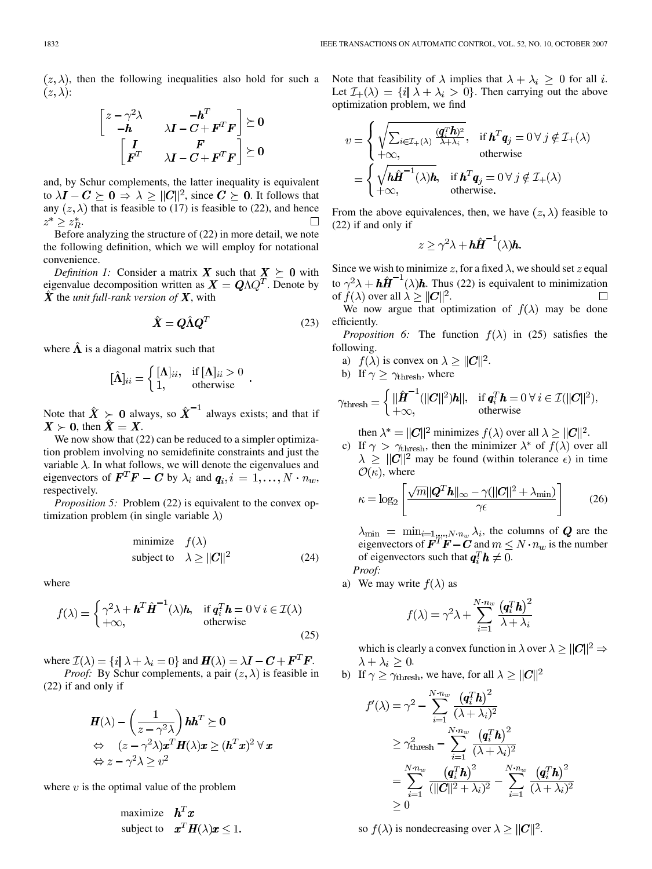$(z, \lambda)$ , then the following inequalities also hold for such a  $(z, \lambda)$ :

$$
\begin{bmatrix} z - \gamma^2 \lambda & -\mathbf{h}^T \\ -\mathbf{h} & \lambda \mathbf{I} - \mathbf{C} + \mathbf{F}^T \mathbf{F} \end{bmatrix} \succeq \mathbf{0}
$$

$$
\begin{bmatrix} \mathbf{I} & \mathbf{F} \\ \mathbf{F}^T & \lambda \mathbf{I} - \mathbf{C} + \mathbf{F}^T \mathbf{F} \end{bmatrix} \succeq \mathbf{0}
$$

and, by Schur complements, the latter inequality is equivalent to  $\lambda I - C \succeq 0 \Rightarrow \lambda \geq ||C||^2$ , since  $C \succeq 0$ . It follows that any  $(z, \lambda)$  that is feasible to (17) is feasible to (22), and hence  $z^* \geq z_R^*$ .  $\Box$ 

Before analyzing the structure of (22) in more detail, we note the following definition, which we will employ for notational convenience.

*Definition 1:* Consider a matrix X such that  $X \succeq 0$  with eigenvalue decomposition written as  $X = Q \Lambda Q^T$ . Denote by  $\hat{X}$  the *unit full-rank version of*  $X$ , with

$$
\hat{X} = Q\hat{\Lambda}Q^T
$$
 (23)

where  $\hat{\Lambda}$  is a diagonal matrix such that

$$
[\hat{\mathbf{\Lambda}}]_{ii} = \begin{cases} [\mathbf{\Lambda}]_{ii}, & \text{if } [\mathbf{\Lambda}]_{ii} > 0\\ 1, & \text{otherwise} \end{cases}
$$

Note that  $\hat{X} \succ 0$  always, so  $\hat{X}^{-1}$  always exists; and that if  $X \succ 0$ , then  $\hat{X} = X$ .

We now show that  $(22)$  can be reduced to a simpler optimization problem involving no semidefinite constraints and just the variable  $\lambda$ . In what follows, we will denote the eigenvalues and eigenvectors of  $\mathbf{F}^T \mathbf{F} - \mathbf{C}$  by  $\lambda_i$  and  $\mathbf{q}_i$ ,  $i = 1, ..., N \cdot n_w$ , respectively.

*Proposition 5:* Problem (22) is equivalent to the convex optimization problem (in single variable  $\lambda$ )

minimize 
$$
f(\lambda)
$$
  
subject to  $\lambda \ge ||C||^2$  (24)

where

$$
f(\lambda) = \begin{cases} \gamma^2 \lambda + \mathbf{h}^T \hat{\mathbf{H}}^{-1}(\lambda) \mathbf{h}, & \text{if } \mathbf{q}_i^T \mathbf{h} = 0 \,\forall \, i \in \mathcal{I}(\lambda) \\ +\infty, & \text{otherwise} \end{cases}
$$
(25)

where  $\mathcal{I}(\lambda) = \{i | \lambda + \lambda_i = 0\}$  and  $H(\lambda) = \lambda \mathbf{I} - \mathbf{C} + \mathbf{F}^T \mathbf{F}$ .

*Proof:* By Schur complements, a pair  $(z, \lambda)$  is feasible in (22) if and only if

$$
H(\lambda) - \left(\frac{1}{z - \gamma^2 \lambda}\right) h h^T \succeq 0
$$
  
\n
$$
\Leftrightarrow (z - \gamma^2 \lambda) x^T H(\lambda) x \ge (h^T x)^2 \forall x
$$
  
\n
$$
\Leftrightarrow z - \gamma^2 \lambda \ge v^2
$$

where  $v$  is the optimal value of the problem

maximize 
$$
h^T x
$$
  
subject to  $x^T H(\lambda) x \leq 1$ 

Note that feasibility of  $\lambda$  implies that  $\lambda + \lambda_i \geq 0$  for all *i*. Let  $\mathcal{I}_{+}(\lambda) = \{i | \lambda + \lambda_i > 0\}$ . Then carrying out the above optimization problem, we find

$$
v = \begin{cases} \sqrt{\sum_{i \in \mathcal{I}_{+}(\lambda)} \frac{(\mathbf{q}_{i}^{T} \mathbf{h})^{2}}{\lambda + \lambda_{i}}}, & \text{if } \mathbf{h}^{T} \mathbf{q}_{j} = 0 \,\forall \, j \notin \mathcal{I}_{+}(\lambda) \\ +\infty, & \text{otherwise} \end{cases}
$$

$$
= \begin{cases} \sqrt{\mathbf{h} \hat{\mathbf{H}}}^{-1}(\lambda) \mathbf{h}, & \text{if } \mathbf{h}^{T} \mathbf{q}_{j} = 0 \,\forall \, j \notin \mathcal{I}_{+}(\lambda) \\ +\infty, & \text{otherwise.} \end{cases}
$$

From the above equivalences, then, we have  $(z, \lambda)$  feasible to (22) if and only if

$$
z \geq \gamma^2 \lambda + h \hat{\boldsymbol{H}}^{-1}(\lambda) \boldsymbol{h}.
$$

Since we wish to minimize z, for a fixed  $\lambda$ , we should set z equal to  $\gamma^2 \lambda + \hat{h} \hat{H}^{-1}(\lambda) \hat{h}$ . Thus (22) is equivalent to minimization of  $f(\lambda)$  over all  $\lambda \geq ||C||^2$ .  $\Box$ 

We now argue that optimization of  $f(\lambda)$  may be done efficiently.

*Proposition 6:* The function  $f(\lambda)$  in (25) satisfies the following.

- a)  $f(\lambda)$  is convex on  $\lambda \geq ||C||^2$ .
- b) If  $\gamma \geq \gamma_{\text{thresh}}$ , where

$$
\gamma_{\text{thresh}} = \begin{cases} \|\hat{\boldsymbol{H}}^{-1}(\|\boldsymbol{C}\|^2)\boldsymbol{h}\|, & \text{if } \boldsymbol{q}_i^T \boldsymbol{h} = 0 \,\forall \, i \in \mathcal{I}(\|\boldsymbol{C}\|^2), \\ +\infty, & \text{otherwise} \end{cases}
$$

then  $\lambda^* = ||C||^2$  minimizes  $f(\lambda)$  over all  $\lambda \ge ||C||^2$ .

c) If  $\gamma > \gamma_{\text{thresh}}$ , then the minimizer  $\lambda^*$  of  $f(\lambda)$  over all  $\lambda \geq ||C||^2$  may be found (within tolerance  $\epsilon$ ) in time  $\mathcal{O}(\kappa)$ , where

$$
\kappa = \log_2 \left[ \frac{\sqrt{m} ||Q^T \mathbf{h}||_{\infty} - \gamma(||\mathbf{C}||^2 + \lambda_{\min})}{\gamma \epsilon} \right]
$$
(26)

, the columns of  $Q$  are the eigenvectors of  $\mathbf{F}^T \mathbf{F} - \mathbf{C}$  and  $m \leq N \cdot n_w$  is the number of eigenvectors such that  $q_i^T h \neq 0$ . *Proof:*

a) We may write  $f(\lambda)$  as

$$
f(\lambda) = \gamma^2 \lambda + \sum_{i=1}^{N \cdot n_w} \frac{(q_i^T h)^2}{\lambda + \lambda_i}
$$

which is clearly a convex function in  $\lambda$  over  $\lambda \geq ||C||^2 \Rightarrow$  $\lambda + \lambda_i \geq 0.$ 

b) If  $\gamma \ge \gamma_{\text{thresh}}$ , we have, for all  $\lambda \ge ||C||^2$ 

$$
f'(\lambda) = \gamma^2 - \sum_{i=1}^{N \cdot n_w} \frac{(q_i^T h)^2}{(\lambda + \lambda_i)^2}
$$
  
\n
$$
\geq \gamma_{\text{thresh}}^2 - \sum_{i=1}^{N \cdot n_w} \frac{(q_i^T h)^2}{(\lambda + \lambda_i)^2}
$$
  
\n
$$
= \sum_{i=1}^{N \cdot n_w} \frac{(q_i^T h)^2}{(||C||^2 + \lambda_i)^2} - \sum_{i=1}^{N \cdot n_w} \frac{(q_i^T h)^2}{(\lambda + \lambda_i)^2}
$$
  
\n
$$
\geq 0
$$

so  $f(\lambda)$  is nondecreasing over  $\lambda \geq ||C||^2$ .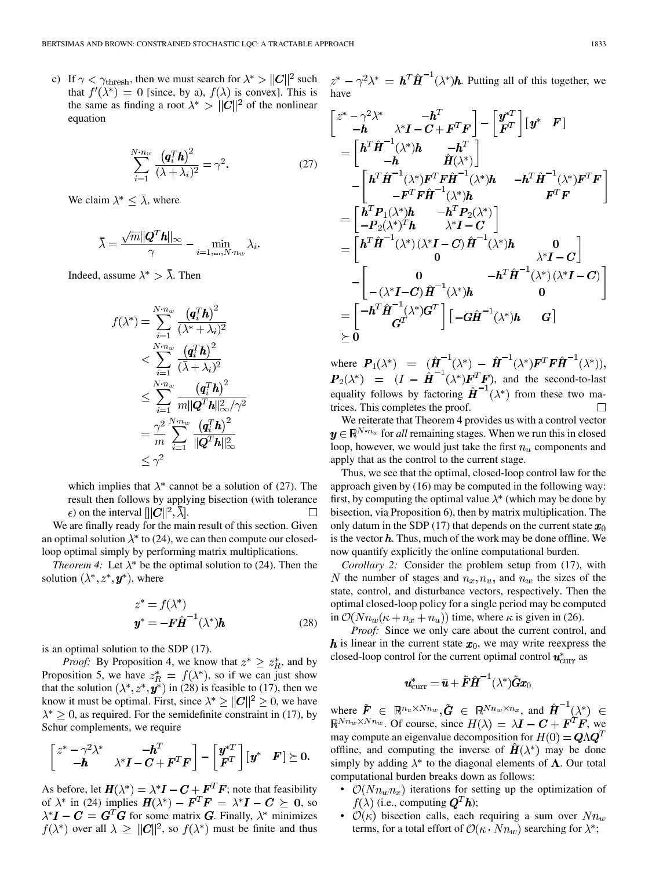c) If  $\gamma < \gamma_{\text{thresh}}$ , then we must search for  $\lambda^* > ||C||^2$  such that  $f'(\lambda^*) = 0$  [since, by a),  $f(\lambda)$  is convex]. This is the same as finding a root  $\lambda^* > ||C||^2$  of the nonlinear equation

$$
\sum_{i=1}^{N \cdot n_w} \frac{\left(\mathbf{q}_i^T \mathbf{h}\right)^2}{\left(\lambda + \lambda_i\right)^2} = \gamma^2. \tag{27}
$$

We claim  $\lambda^* < \overline{\lambda}$ , where

$$
\bar{\lambda} = \frac{\sqrt{m} ||\mathbf{Q}^T \mathbf{h}||_{\infty}}{\gamma} - \min_{i=1,\dots,N\cdot n_w} \lambda_i.
$$

Indeed, assume  $\lambda^* > \overline{\lambda}$ . Then

$$
f(\lambda^*) = \sum_{i=1}^{N \cdot n_w} \frac{\left(\boldsymbol{q}_i^T \boldsymbol{h}\right)^2}{\left(\lambda^* + \lambda_i\right)^2}
$$
  

$$
< \sum_{i=1}^{N \cdot n_w} \frac{\left(\boldsymbol{q}_i^T \boldsymbol{h}\right)^2}{\left(\overline{\lambda} + \lambda_i\right)^2}
$$
  

$$
\leq \sum_{i=1}^{N \cdot n_w} \frac{\left(\boldsymbol{q}_i^T \boldsymbol{h}\right)^2}{m ||\boldsymbol{Q}^T \boldsymbol{h}||_{\infty}^2 / \gamma^2}
$$
  

$$
= \frac{\gamma^2}{m} \sum_{i=1}^{N \cdot n_w} \frac{\left(\boldsymbol{q}_i^T \boldsymbol{h}\right)^2}{||\boldsymbol{Q}^T \boldsymbol{h}||_{\infty}^2}
$$
  

$$
\leq \gamma^2
$$

which implies that  $\lambda^*$  cannot be a solution of (27). The result then follows by applying bisection (with tolerance  $\epsilon$ ) on the interval  $[||C||^2, \bar{\lambda}].$  $\Box$ 

We are finally ready for the main result of this section. Given an optimal solution  $\lambda^*$  to (24), we can then compute our closedloop optimal simply by performing matrix multiplications.

*Theorem 4:* Let  $\lambda^*$  be the optimal solution to (24). Then the solution  $(\lambda^*, z^*, y^*)$ , where

$$
z^* = f(\lambda^*)
$$
  

$$
\mathbf{y}^* = -\mathbf{F}\hat{\mathbf{H}}^{-1}(\lambda^*)\mathbf{h}
$$
 (28)

is an optimal solution to the SDP (17).

*Proof:* By Proposition 4, we know that  $z^* \geq z_R^*$ , and by Proposition 5, we have  $z_R^* = f(\lambda^*)$ , so if we can just show that the solution  $(\lambda^*, z^*, y^*)$  in (28) is feasible to (17), then we know it must be optimal. First, since  $\lambda^* \ge ||C||^2 \ge 0$ , we have  $\lambda^* \geq 0$ , as required. For the semidefinite constraint in (17), by Schur complements, we require

$$
\begin{bmatrix} z^* - \gamma^2 \lambda^* & -\mathbf{h}^T \\ -\mathbf{h} & \lambda^* \mathbf{I} - \mathbf{C} + \mathbf{F}^T \mathbf{F} \end{bmatrix} - \begin{bmatrix} \mathbf{y}^{*T} \\ \mathbf{F}^T \end{bmatrix} [\mathbf{y}^* \quad \mathbf{F}] \succeq 0.
$$

As before, let  $H(\lambda^*) = \lambda^* I - C + F^T F$ ; note that feasibility of  $\lambda^*$  in (24) implies  $H(\lambda^*) - F^T F = \lambda^* I - C \succeq 0$ , so  $\lambda^* I - C = G^T G$  for some matrix G. Finally,  $\lambda^*$  minimizes  $f(\lambda^*)$  over all  $\lambda \geq ||C||^2$ , so  $f(\lambda^*)$  must be finite and thus  $z^* - \gamma^2 \lambda^* = h^T \hat{H}^{-1}(\lambda^*) h$ . Putting all of this together, we have

$$
\begin{aligned}\n&\begin{bmatrix}\nz^* - \gamma^2 \lambda^* & -h^T \\
-h & \lambda^* I - C + F^T F\n\end{bmatrix} - \begin{bmatrix}\ny^*T \\
F^T\n\end{bmatrix} [y^* \quad F] \\
&= \begin{bmatrix}\nh^T \hat{H}^{-1} (\lambda^*) h & -h^T \\
-h & \hat{H} (\lambda^*)\n\end{bmatrix} \\
&- \begin{bmatrix}\nh^T \hat{H}^{-1} (\lambda^*) F^T F \hat{H}^{-1} (\lambda^*) h & -h^T \hat{H}^{-1} (\lambda^*) F^T F \\
-F^T F \hat{H}^{-1} (\lambda^*) h & F^T F\n\end{bmatrix} \\
&= \begin{bmatrix}\nh^T P_1 (\lambda^*) h & -h^T P_2 (\lambda^*) \\
-P_2 (\lambda^*)^T h & \lambda^* I - C\n\end{bmatrix} \\
&= \begin{bmatrix}\nh^T \hat{H}^{-1} (\lambda^*) (\lambda^* I - C) \hat{H}^{-1} (\lambda^*) h & 0 \\
-(\lambda^* I - C) \hat{H}^{-1} (\lambda^*) h & 0\n\end{bmatrix} \\
&= \begin{bmatrix}\n0 & -h^T \hat{H}^{-1} (\lambda^*) (\lambda^* I - C) \\
-G^T\n\end{bmatrix} [-G \hat{H}^{-1} (\lambda^*) h & G] \\
&\geq 0\n\end{aligned}
$$

where , and the second-to-last equality follows by factoring  $\hat{H}^{-1}(\lambda^*)$  from these two matrices. This completes the proof.

We reiterate that Theorem 4 provides us with a control vector  $y \in \mathbb{R}^{N \cdot n_u}$  for *all* remaining stages. When we run this in closed loop, however, we would just take the first  $n_u$  components and apply that as the control to the current stage.

Thus, we see that the optimal, closed-loop control law for the approach given by (16) may be computed in the following way: first, by computing the optimal value  $\lambda^*$  (which may be done by bisection, via Proposition 6), then by matrix multiplication. The only datum in the SDP (17) that depends on the current state  $x_0$ is the vector  $\boldsymbol{h}$ . Thus, much of the work may be done offline. We now quantify explicitly the online computational burden.

*Corollary 2:* Consider the problem setup from (17), with N the number of stages and  $n_x, n_u$ , and  $n_w$  the sizes of the state, control, and disturbance vectors, respectively. Then the optimal closed-loop policy for a single period may be computed in  $\mathcal{O}(Nn_w(\kappa + n_x + n_u))$  time, where  $\kappa$  is given in (26).

*Proof:* Since we only care about the current control, and  $h$  is linear in the current state  $x_0$ , we may write reexpress the closed-loop control for the current optimal control  $\mathbf{u}_{\text{curr}}^*$  as

$$
\boldsymbol{u}^*_{\rm curr} = \bar{\boldsymbol{u}} + \tilde{\boldsymbol{F}} \hat{\boldsymbol{H}}^{-1} (\lambda^*) \tilde{\boldsymbol{G}} \boldsymbol{x}_0
$$

where  $\tilde{F} \in \mathbb{R}^{n_u \times Nn_w}, \tilde{G} \in \mathbb{R}^{Nn_w \times n_x}$ , and  $\hat{H}^{-1}(\lambda^*) \in$  $\mathbb{R}^{Nn_w \times Nn_w}$ . Of course, since  $H(\lambda) = \lambda \mathbf{I} - \mathbf{C} + \mathbf{F}^T \mathbf{F}$ , we may compute an eigenvalue decomposition for  $H(0) = \mathbf{Q} \Lambda \mathbf{Q}^T$ offline, and computing the inverse of  $H(\lambda^*)$  may be done simply by adding  $\lambda^*$  to the diagonal elements of  $\Lambda$ . Our total computational burden breaks down as follows:

- $\mathcal{O}(Nn_w n_x)$  iterations for setting up the optimization of  $f(\lambda)$  (i.e., computing  $\mathbf{Q}^T \mathbf{h}$ );
- $\mathcal{O}(\kappa)$  bisection calls, each requiring a sum over  $Nn_w$ terms, for a total effort of  $\mathcal{O}(\kappa \cdot Nn_w)$  searching for  $\lambda^*$ ;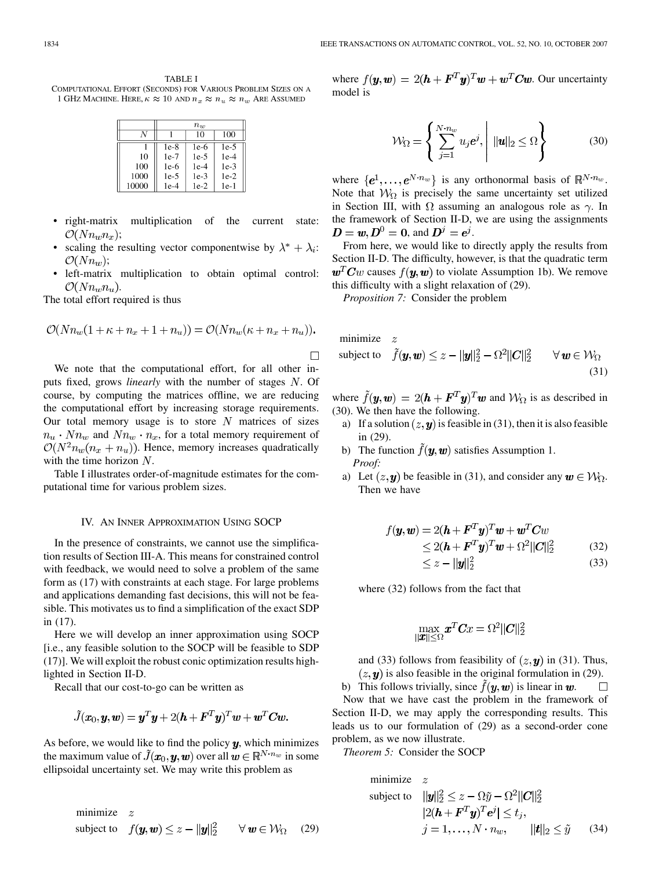TABLE I COMPUTATIONAL EFFORT (SECONDS) FOR VARIOUS PROBLEM SIZES ON A 1 GHZ MACHINE. HERE,  $\kappa \approx 10$  and  $n_x \approx n_u \approx n_w$  Are Assumed

|       | $n_w$  |        |        |
|-------|--------|--------|--------|
|       |        | 10     | 100    |
|       | $1e-8$ | $1e-6$ | $1e-5$ |
| 10    | $1e-7$ | $1e-5$ | $1e-4$ |
| 100   | $1e-6$ | $1e-4$ | $1e-3$ |
| 1000  | $1e-5$ | $1e-3$ | $1e-2$ |
| 10000 | $1e-4$ | $1e-2$ | $1e-1$ |

- right-matrix multiplication of the current state:  $\mathcal{O}(Nn_w n_x);$
- scaling the resulting vector componentwise by  $\lambda^* + \lambda_i$ :  $\mathcal{O}(Nn_w);$
- left-matrix multiplication to obtain optimal control:  $\mathcal{O}(Nn_w n_u)$ .

The total effort required is thus

$$
\mathcal{O}(Nn_w(1+\kappa+n_x+1+n_u)) = \mathcal{O}(Nn_w(\kappa+n_x+n_u)).
$$

We note that the computational effort, for all other inputs fixed, grows *linearly* with the number of stages N. Of course, by computing the matrices offline, we are reducing the computational effort by increasing storage requirements. Our total memory usage is to store  $N$  matrices of sizes  $n_u \cdot N n_w$  and  $N n_w \cdot n_x$ , for a total memory requirement of  $\mathcal{O}(N^2 n_w(n_x + n_u))$ . Hence, memory increases quadratically with the time horizon  $N$ .

Table I illustrates order-of-magnitude estimates for the computational time for various problem sizes.

#### IV. AN INNER APPROXIMATION USING SOCP

In the presence of constraints, we cannot use the simplification results of Section III-A. This means for constrained control with feedback, we would need to solve a problem of the same form as (17) with constraints at each stage. For large problems and applications demanding fast decisions, this will not be feasible. This motivates us to find a simplification of the exact SDP in (17).

Here we will develop an inner approximation using SOCP [i.e., any feasible solution to the SOCP will be feasible to SDP (17)]. We will exploit the robust conic optimization results highlighted in Section II-D.

Recall that our cost-to-go can be written as

$$
\widetilde{J}(\boldsymbol{x}_0,\boldsymbol{y},\boldsymbol{w}) = \boldsymbol{y}^T\boldsymbol{y} + 2(\boldsymbol{h} + \boldsymbol{F}^T\boldsymbol{y})^T\boldsymbol{w} + \boldsymbol{w}^T\boldsymbol{C}\boldsymbol{w}.
$$

As before, we would like to find the policy  $y$ , which minimizes the maximum value of  $\hat{J}(\mathbf{x}_0, \mathbf{y}, \mathbf{w})$  over all  $\mathbf{w} \in \mathbb{R}^{N \cdot n_w}$  in some ellipsoidal uncertainty set. We may write this problem as

minimize z  
subject to 
$$
f(\mathbf{y}, \mathbf{w}) \le z - ||\mathbf{y}||_2^2 \quad \forall \mathbf{w} \in \mathcal{W}_{\Omega}
$$
 (29)

where  $f(y, w) = 2(h + F^{T}y)^{T}w + w^{T}Cw$ . Our uncertainty model is

$$
\mathcal{W}_{\Omega} = \left\{ \sum_{j=1}^{N \cdot n_w} u_j e^j, \middle| \ ||\mathbf{u}||_2 \leq \Omega \right\}
$$
 (30)

where  $\{e^1, \ldots, e^{N \cdot n_w}\}\$ is any orthonormal basis of  $\mathbb{R}^{N \cdot n_w}$ . Note that  $W_{\Omega}$  is precisely the same uncertainty set utilized in Section III, with  $\Omega$  assuming an analogous role as  $\gamma$ . In the framework of Section II-D, we are using the assignments  $D = w$ ,  $D^0 = 0$ , and  $D^j = e^j$ .

From here, we would like to directly apply the results from Section II-D. The difficulty, however, is that the quadratic term  $\mathbf{w}^T C w$  causes  $f(\mathbf{y}, \mathbf{w})$  to violate Assumption 1b). We remove this difficulty with a slight relaxation of (29).

*Proposition 7:* Consider the problem

minimize z  
subject to 
$$
\tilde{f}(\mathbf{y}, \mathbf{w}) \le z - ||\mathbf{y}||_2^2 - \Omega^2 ||C||_2^2 \quad \forall \mathbf{w} \in \mathcal{W}_{\Omega}
$$
 (31)

where  $\tilde{f}(\mathbf{y}, \mathbf{w}) = 2(h + F^T \mathbf{y})^T \mathbf{w}$  and  $\mathcal{W}_{\Omega}$  is as described in (30). We then have the following.

- a) If a solution  $(z, y)$  is feasible in (31), then it is also feasible in (29).
- b) The function  $\tilde{f}(\mathbf{y}, \mathbf{w})$  satisfies Assumption 1. *Proof:*
- a) Let  $(z, y)$  be feasible in (31), and consider any  $w \in \mathcal{W}_{\Omega}$ . Then we have

$$
f(\mathbf{y}, \mathbf{w}) = 2(\mathbf{h} + \mathbf{F}^T \mathbf{y})^T \mathbf{w} + \mathbf{w}^T C w
$$
  
\n
$$
\leq 2(\mathbf{h} + \mathbf{F}^T \mathbf{y})^T \mathbf{w} + \Omega^2 ||C||_2^2
$$
 (32)  
\n
$$
\leq z - ||\mathbf{y}||_2^2
$$
 (33)

where (32) follows from the fact that

$$
\max_{\|\boldsymbol{x}\| \leq \Omega} \boldsymbol{x}^T \boldsymbol{C} x = \Omega^2 ||\boldsymbol{C}||_2^2
$$

and (33) follows from feasibility of  $(z, y)$  in (31). Thus,  $(z, y)$  is also feasible in the original formulation in (29).

b) This follows trivially, since  $\hat{f}(\mathbf{y}, \mathbf{w})$  is linear in  $\mathbf{w}$ .  $\Box$ Now that we have cast the problem in the framework of Section II-D, we may apply the corresponding results. This leads us to our formulation of (29) as a second-order cone problem, as we now illustrate.

*Theorem 5:* Consider the SOCP

minimize z  
\nsubject to 
$$
||\mathbf{y}||_2^2 \le z - \Omega \tilde{y} - \Omega^2 ||C||_2^2
$$
\n
$$
|2(\mathbf{h} + \mathbf{F}^T \mathbf{y})^T \mathbf{e}^j| \le t_j,
$$
\n
$$
j = 1, ..., N \cdot n_w, \qquad ||\mathbf{t}||_2 \le \tilde{y} \qquad (34)
$$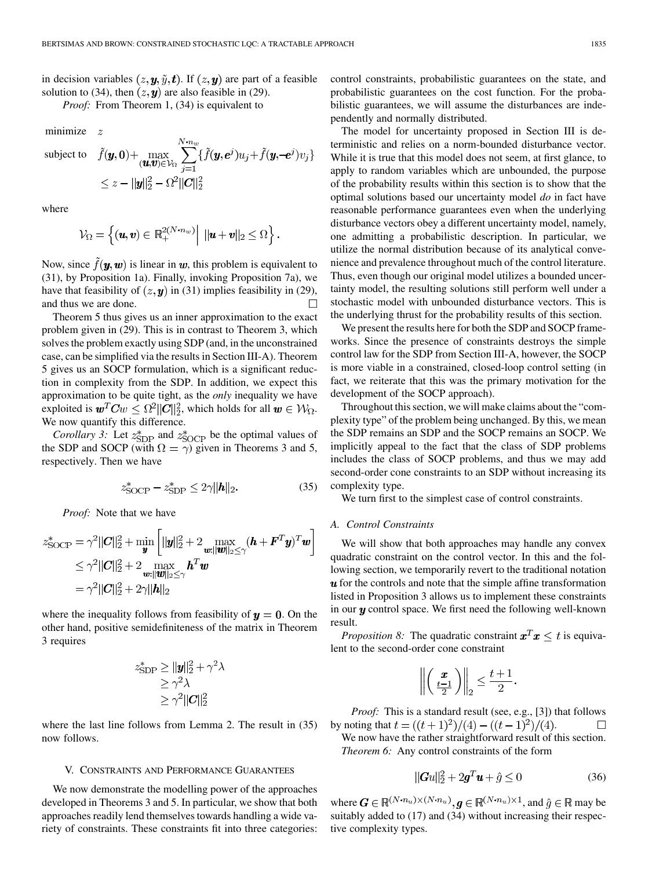in decision variables  $(z, y, \tilde{y}, t)$ . If  $(z, y)$  are part of a feasible solution to (34), then  $(z, y)$  are also feasible in (29).

*Proof:* From Theorem 1, (34) is equivalent to

minimize  $z$ subject to  $\tilde{f}(\boldsymbol{y},0) + \max_{(\boldsymbol{u},\boldsymbol{v}) \in \mathcal{V}_{\Omega}} \sum_{i=1}^{N \cdot n_w} \{ \tilde{f}(\boldsymbol{y},\boldsymbol{e}^j) u_j + \tilde{f}(\boldsymbol{y},\boldsymbol{-e}^j) v_j \}$  $< z - ||u||_2^2 - \Omega^2 ||C||_2^2$ 

where

$$
\mathcal{V}_{\Omega} = \left\{(\boldsymbol{u}, \boldsymbol{v}) \in \mathbb{R}_+^{2(N \cdot n_w)} \middle| \ ||\boldsymbol{u} + \boldsymbol{v}||_2 \leq \Omega \right\}.
$$

Now, since  $\hat{f}(\mathbf{y}, \mathbf{w})$  is linear in  $\mathbf{w}$ , this problem is equivalent to (31), by Proposition 1a). Finally, invoking Proposition 7a), we have that feasibility of  $(z, y)$  in (31) implies feasibility in (29), and thus we are done.  $\Box$ 

Theorem 5 thus gives us an inner approximation to the exact problem given in (29). This is in contrast to Theorem 3, which solves the problem exactly using SDP (and, in the unconstrained case, can be simplified via the results in Section III-A). Theorem 5 gives us an SOCP formulation, which is a significant reduction in complexity from the SDP. In addition, we expect this approximation to be quite tight, as the *only* inequality we have exploited is  $\mathbf{w}^T C w \leq \Omega^2 ||C||_2^2$ , which holds for all  $\mathbf{w} \in \mathcal{W}_{\Omega}$ . We now quantify this difference.

*Corollary 3:* Let  $z_{SDP}^*$  and  $z_{SOCP}^*$  be the optimal values of the SDP and SOCP (with  $\Omega = \gamma$ ) given in Theorems 3 and 5, respectively. Then we have

$$
z_{\text{SOCP}}^* - z_{\text{SDP}}^* \le 2\gamma \|h\|_2. \tag{35}
$$

*Proof:* Note that we have

$$
z_{\text{SOCP}}^* = \gamma^2 ||C||_2^2 + \min_{\mathbf{y}} \left[ ||\mathbf{y}||_2^2 + 2 \max_{\mathbf{w}: \|\mathbf{w}\|_2 \le \gamma} (\mathbf{h} + \mathbf{F}^T \mathbf{y})^T \mathbf{w} \right]
$$
  
\$\le \gamma^2 ||C||\_2^2 + 2 \max\_{\mathbf{w}: \|\mathbf{w}\|\_2 \le \gamma} \mathbf{h}^T \mathbf{w}\$  
\$= \gamma^2 ||C||\_2^2 + 2\gamma ||\mathbf{h}||\_2\$

where the inequality follows from feasibility of  $y = 0$ . On the other hand, positive semidefiniteness of the matrix in Theorem 3 requires

$$
z_{\text{SDP}}^* \ge ||\mathbf{y}||_2^2 + \gamma^2 \lambda
$$
  
\n
$$
\ge \gamma^2 \lambda
$$
  
\n
$$
\ge \gamma^2 ||C||_2^2
$$

where the last line follows from Lemma 2. The result in (35) now follows.

#### V. CONSTRAINTS AND PERFORMANCE GUARANTEES

We now demonstrate the modelling power of the approaches developed in Theorems 3 and 5. In particular, we show that both approaches readily lend themselves towards handling a wide variety of constraints. These constraints fit into three categories:

control constraints, probabilistic guarantees on the state, and probabilistic guarantees on the cost function. For the probabilistic guarantees, we will assume the disturbances are independently and normally distributed.

The model for uncertainty proposed in Section III is deterministic and relies on a norm-bounded disturbance vector. While it is true that this model does not seem, at first glance, to apply to random variables which are unbounded, the purpose of the probability results within this section is to show that the optimal solutions based our uncertainty model *do* in fact have reasonable performance guarantees even when the underlying disturbance vectors obey a different uncertainty model, namely, one admitting a probabilistic description. In particular, we utilize the normal distribution because of its analytical convenience and prevalence throughout much of the control literature. Thus, even though our original model utilizes a bounded uncertainty model, the resulting solutions still perform well under a stochastic model with unbounded disturbance vectors. This is the underlying thrust for the probability results of this section.

We present the results here for both the SDP and SOCP frameworks. Since the presence of constraints destroys the simple control law for the SDP from Section III-A, however, the SOCP is more viable in a constrained, closed-loop control setting (in fact, we reiterate that this was the primary motivation for the development of the SOCP approach).

Throughout this section, we will make claims about the "complexity type" of the problem being unchanged. By this, we mean the SDP remains an SDP and the SOCP remains an SOCP. We implicitly appeal to the fact that the class of SDP problems includes the class of SOCP problems, and thus we may add second-order cone constraints to an SDP without increasing its complexity type.

We turn first to the simplest case of control constraints.

# *A. Control Constraints*

We will show that both approaches may handle any convex quadratic constraint on the control vector. In this and the following section, we temporarily revert to the traditional notation  $\boldsymbol{u}$  for the controls and note that the simple affine transformation listed in Proposition 3 allows us to implement these constraints in our  $y$  control space. We first need the following well-known result.

*Proposition 8:* The quadratic constraint  $x^T x \le t$  is equivalent to the second-order cone constraint

$$
\left\| \left( \frac{x}{\frac{t-1}{2}} \right) \right\|_2 \le \frac{t+1}{2}
$$

*Proof:* This is a standard result (see, e.g., [3]) that follows by noting that  $t = ((t + 1)^2)/(4) - ((t - 1)^2)/(4)$ .  $\Box$ 

We now have the rather straightforward result of this section. *Theorem 6:* Any control constraints of the form

$$
||Gu||_2^2 + 2g^T u + \hat{g} \le 0 \tag{36}
$$

where  $G \in \mathbb{R}^{(N \cdot n_u) \times (N \cdot n_u)}$ ,  $g \in \mathbb{R}^{(N \cdot n_u) \times 1}$ , and  $\hat{g} \in \mathbb{R}$  may be suitably added to  $(17)$  and  $(34)$  without increasing their respective complexity types.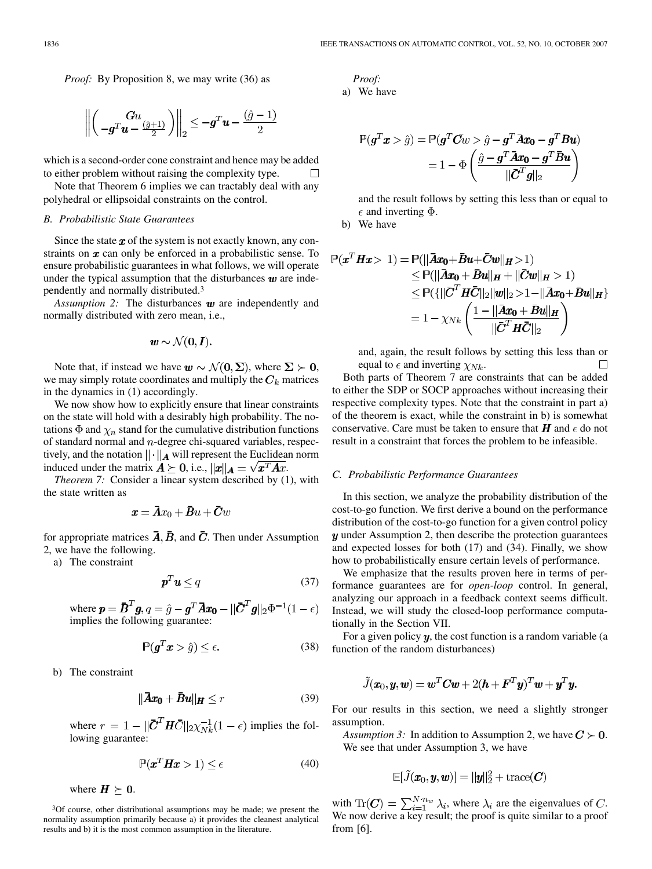*Proof:* By Proposition 8, we may write (36) as

$$
\left\| \left( \begin{array}{c} \mathbf{G} u & \mathbf{G} u + \mathbf{G} u \\ -\mathbf{g}^T \mathbf{u} - \frac{(\hat{g}+1)}{2} \end{array} \right) \right\|_2 \leq -\mathbf{g}^T \mathbf{u} - \frac{(\hat{g}-1)}{2}
$$

which is a second-order cone constraint and hence may be added to either problem without raising the complexity type.

Note that Theorem 6 implies we can tractably deal with any polyhedral or ellipsoidal constraints on the control.

#### *B. Probabilistic State Guarantees*

Since the state  $x$  of the system is not exactly known, any constraints on  $x$  can only be enforced in a probabilistic sense. To ensure probabilistic guarantees in what follows, we will operate under the typical assumption that the disturbances  $w$  are independently and normally distributed.3

*Assumption 2:* The disturbances  $w$  are independently and normally distributed with zero mean, i.e.,

$$
w \sim \mathcal{N}(\mathbf{0}, \mathbf{I}).
$$

Note that, if instead we have  $w \sim \mathcal{N}(0, \Sigma)$ , where  $\Sigma \succ 0$ , we may simply rotate coordinates and multiply the  $C_k$  matrices in the dynamics in (1) accordingly.

We now show how to explicitly ensure that linear constraints on the state will hold with a desirably high probability. The notations  $\Phi$  and  $\chi_n$  stand for the cumulative distribution functions of standard normal and  $n$ -degree chi-squared variables, respectively, and the notation  $\|\cdot\|_A$  will represent the Euclidean norm induced under the matrix  $A \succeq 0$ , i.e.,  $||x||_A = \sqrt{x^T A x}$ .

*Theorem 7:* Consider a linear system described by (1), with the state written as

$$
x = \bar{A}x_0 + \bar{B}u + \bar{C}w
$$

for appropriate matrices  $\bar{A}$ ,  $\bar{B}$ , and  $\bar{C}$ . Then under Assumption 2, we have the following.

a) The constraint

$$
\mathbf{p}^T \mathbf{u} \le q \tag{37}
$$

where  $\boldsymbol{p}=\boldsymbol{\bar{B}}^T\boldsymbol{g}, q=\hat{g}-\boldsymbol{g}^T\bar{A}\boldsymbol{x_0}-||\boldsymbol{\bar{C}}^T\boldsymbol{g}||_2\Phi^{-1}(1-\epsilon)$ implies the following guarantee:

$$
\mathbb{P}(\mathbf{g}^T \mathbf{x} > \hat{g}) \le \epsilon. \tag{38}
$$

b) The constraint

$$
\|\bar{A}x_0 + \bar{B}u\|_H \le r \tag{39}
$$

where  $r = 1 - ||\bar{C}^T H \bar{C}||_2 \chi_{Nk}^{-1} (1 - \epsilon)$  implies the following guarantee:

$$
\mathbb{P}(\boldsymbol{x}^T H \boldsymbol{x} > 1) \le \epsilon \tag{40}
$$

where  $H \succeq 0$ .

*Proof:*

a) We have

$$
\mathbb{P}(g^T x > \hat{g}) = \mathbb{P}(g^T \overline{C}w > \hat{g} - g^T \overline{A}x_0 - g^T \overline{B}u)
$$

$$
= 1 - \Phi\left(\frac{\hat{g} - g^T \overline{A}x_0 - g^T \overline{B}u}{\|\overline{C}^T g\|_2}\right)
$$

and the result follows by setting this less than or equal to  $\epsilon$  and inverting  $\Phi$ .

b) We have

$$
\mathbb{P}(\mathbf{x}^T \mathbf{H} \mathbf{x} > 1) = \mathbb{P}(\|\bar{A}\mathbf{x}_0 + \bar{B}\mathbf{u} + \bar{C}\mathbf{w}\|_{\mathbf{H}} > 1) \\
 \leq \mathbb{P}(\|\bar{A}\mathbf{x}_0 + \bar{B}\mathbf{u}\|_{\mathbf{H}} + \|\bar{C}\mathbf{w}\|_{\mathbf{H}} > 1) \\
 \leq \mathbb{P}(\{\|\bar{C}^T H \bar{C}\|_2 \|\mathbf{w}\|_2 > 1 - \|\bar{A}\mathbf{x}_0 + \bar{B}\mathbf{u}\|_{\mathbf{H}}\} \\
 = 1 - \chi_{Nk} \left( \frac{1 - \|\bar{A}\mathbf{x}_0 + \bar{B}\mathbf{u}\|_{\mathbf{H}}}{\|\bar{C}^T H \bar{C}\|_2} \right)
$$

and, again, the result follows by setting this less than or equal to  $\epsilon$  and inverting  $\chi_{Nk}$ .

Both parts of Theorem 7 are constraints that can be added to either the SDP or SOCP approaches without increasing their respective complexity types. Note that the constraint in part a) of the theorem is exact, while the constraint in b) is somewhat conservative. Care must be taken to ensure that  $H$  and  $\epsilon$  do not result in a constraint that forces the problem to be infeasible.

#### *C. Probabilistic Performance Guarantees*

In this section, we analyze the probability distribution of the cost-to-go function. We first derive a bound on the performance distribution of the cost-to-go function for a given control policy  $y$  under Assumption 2, then describe the protection guarantees and expected losses for both (17) and (34). Finally, we show how to probabilistically ensure certain levels of performance.

We emphasize that the results proven here in terms of performance guarantees are for *open-loop* control. In general, analyzing our approach in a feedback context seems difficult. Instead, we will study the closed-loop performance computationally in the Section VII.

For a given policy  $y$ , the cost function is a random variable (a function of the random disturbances)

$$
\tilde{J}(\boldsymbol{x}_0,\boldsymbol{y},\boldsymbol{w}) = \boldsymbol{w}^T \boldsymbol{C} \boldsymbol{w} + 2(\boldsymbol{h} + \boldsymbol{F}^T \boldsymbol{y})^T \boldsymbol{w} + \boldsymbol{y}^T \boldsymbol{y}.
$$

For our results in this section, we need a slightly stronger assumption.

*Assumption 3:* In addition to Assumption 2, we have  $C \succ 0$ . We see that under Assumption 3, we have

$$
\mathbb{E}[\ddot{J}(\boldsymbol{x}_{0},\boldsymbol{y},\boldsymbol{w})]=||\boldsymbol{y}||_{2}^{2}+\text{trace}(\boldsymbol{C})
$$

with  $\text{Tr}(\boldsymbol{C}) = \sum_{i=1}^{N} n_{w} \lambda_{i}$ , where  $\lambda_{i}$  are the eigenvalues of  $C$ . We now derive a key result; the proof is quite similar to a proof from [6].

<sup>3</sup>Of course, other distributional assumptions may be made; we present the normality assumption primarily because a) it provides the cleanest analytical results and b) it is the most common assumption in the literature.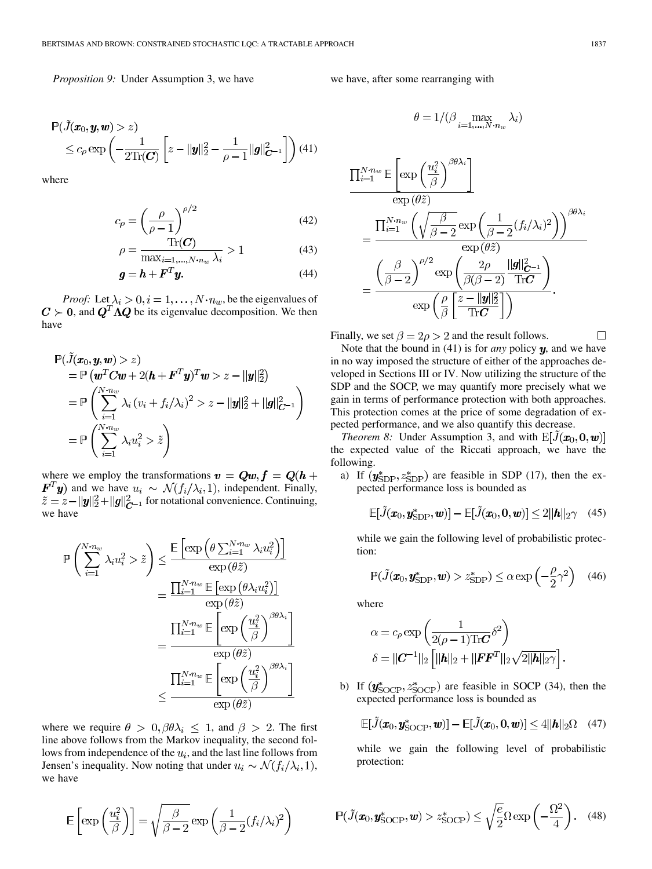*Proposition 9:* Under Assumption 3, we have

we have, after some rearranging with

$$
\mathbb{P}(\tilde{J}(\boldsymbol{x}_0, \boldsymbol{y}, \boldsymbol{w}) > z)
$$
  
\$\leq c\_\rho \exp\left(-\frac{1}{2\text{Tr}(\boldsymbol{C})} \left[ z - ||\boldsymbol{y}||\_2^2 - \frac{1}{\rho - 1} ||\boldsymbol{g}||\_{\boldsymbol{C}^{-1}}^2 \right] \right) (41)\$

where

$$
c_{\rho} = \left(\frac{\rho}{\rho - 1}\right)^{\rho/2} \tag{42}
$$

$$
\rho = \frac{\text{Tr}(C)}{\max_{i=1,\dots,N\cdot n_w} \lambda_i} > 1
$$
\n(43)

$$
g = h + F^T y. \tag{44}
$$

*Proof:* Let  $\lambda_i > 0, i = 1, \dots, N \cdot n_w$ , be the eigenvalues of  $C \succ 0$ , and  $Q<sup>T</sup> \Lambda Q$  be its eigenvalue decomposition. We then have

$$
\mathbb{P}(\tilde{J}(\boldsymbol{x}_0, \boldsymbol{y}, \boldsymbol{w}) > z) \n= \mathbb{P}(\boldsymbol{w}^T \boldsymbol{C} \boldsymbol{w} + 2(\boldsymbol{h} + \boldsymbol{F}^T \boldsymbol{y})^T \boldsymbol{w} > z - ||\boldsymbol{y}||_2^2) \n= \mathbb{P}\left(\sum_{i=1}^{N \cdot n_w} \lambda_i (v_i + f_i/\lambda_i)^2 > z - ||\boldsymbol{y}||_2^2 + ||\boldsymbol{g}||_{\boldsymbol{C}^{-1}}^2\right) \n= \mathbb{P}\left(\sum_{i=1}^{N \cdot n_w} \lambda_i u_i^2 > \tilde{z}\right)
$$

where we employ the transformations  $v = Qw, f = Q(h +$  $\mathbf{F}^T \mathbf{y}$  and we have  $u_i \sim \mathcal{N}(f_i/\lambda_i, 1)$ , independent. Finally,  $\tilde{z} = z - ||y||_2^2 + ||g||_{\mathbf{C}^{-1}}^2$  for notational convenience. Continuing, we have

$$
\mathbb{P}\left(\sum_{i=1}^{N\cdot n_w} \lambda_i u_i^2 > \tilde{z}\right) \leq \frac{\mathbb{E}\left[\exp\left(\theta \sum_{i=1}^{N\cdot n_w} \lambda_i u_i^2\right)\right]}{\exp\left(\theta \tilde{z}\right)}
$$

$$
= \frac{\prod_{i=1}^{N\cdot n_w} \mathbb{E}\left[\exp\left(\theta \lambda_i u_i^2\right)\right]}{\exp\left(\theta \tilde{z}\right)}
$$

$$
= \frac{\prod_{i=1}^{N\cdot n_w} \mathbb{E}\left[\exp\left(\frac{u_i^2}{\beta}\right)^{\beta \theta \lambda_i}\right]}{\exp\left(\theta \tilde{z}\right)}
$$

$$
\leq \frac{\prod_{i=1}^{N\cdot n_w} \mathbb{E}\left[\exp\left(\frac{u_i^2}{\beta}\right)^{\beta \theta \lambda_i}\right]}{\exp\left(\theta \tilde{z}\right)}
$$

where we require  $\theta > 0$ ,  $\beta \theta \lambda_i \leq 1$ , and  $\beta > 2$ . The first line above follows from the Markov inequality, the second follows from independence of the  $u_i$ , and the last line follows from Jensen's inequality. Now noting that under  $u_i \sim \mathcal{N}(f_i/\lambda_i, 1)$ , we have

$$
\mathbb{E}\left[\exp\left(\frac{u_i^2}{\beta}\right)\right] = \sqrt{\frac{\beta}{\beta - 2}} \exp\left(\frac{1}{\beta - 2} (f_i/\lambda_i)^2\right)
$$

$$
\theta=1/(\beta\max_{i=1,\ldots,N\cdot n_w}\lambda_i)
$$

$$
\Pi_{i=1}^{N \cdot n_w} \mathbb{E} \left[ \exp \left( \frac{u_i^2}{\beta} \right)^{\beta \theta \lambda_i} \right]
$$
  
\n
$$
= \frac{\Pi_{i=1}^{N \cdot n_w} \left( \sqrt{\frac{\beta}{\beta - 2}} \exp \left( \frac{1}{\beta - 2} (f_i / \lambda_i)^2 \right) \right)^{\beta \theta \lambda_i}}{\exp (\theta \tilde{z})}
$$
  
\n
$$
= \frac{\left( \frac{\beta}{\beta - 2} \right)^{\rho/2} \exp \left( \frac{2\rho}{\beta(\beta - 2)} \frac{||g||_{C^{-1}}^2}{\text{Tr} C} \right)}{\exp \left( \frac{\rho}{\beta} \left[ \frac{z - ||g||_2^2}{\text{Tr} C} \right] \right)}.
$$

Finally, we set  $\beta = 2\rho > 2$  and the result follows.

Note that the bound in  $(41)$  is for *any* policy  $y$ , and we have in no way imposed the structure of either of the approaches developed in Sections III or IV. Now utilizing the structure of the SDP and the SOCP, we may quantify more precisely what we gain in terms of performance protection with both approaches. This protection comes at the price of some degradation of expected performance, and we also quantify this decrease.

*Theorem 8:* Under Assumption 3, and with  $E[J(\mathbf{x}_0, \mathbf{0}, \mathbf{w})]$ the expected value of the Riccati approach, we have the following.

a) If  $(y_{SDP}^*, z_{SDP}^*)$  are feasible in SDP (17), then the expected performance loss is bounded as

$$
\mathbb{E}[\tilde{J}(\boldsymbol{x}_0, \boldsymbol{y}_{\text{SDP}}^*, \boldsymbol{w})] - \mathbb{E}[\tilde{J}(\boldsymbol{x}_0, \boldsymbol{0}, \boldsymbol{w})] \le 2||\boldsymbol{h}||_2 \gamma \quad (45)
$$

while we gain the following level of probabilistic protection:

$$
\mathbb{P}(\tilde{J}(\boldsymbol{x}_0, \boldsymbol{y}_{\text{SDP}}^*, \boldsymbol{w}) > z_{\text{SDP}}^*) \le \alpha \exp\left(-\frac{\rho}{2}\gamma^2\right) \quad (46)
$$

where

$$
\alpha = c_{\rho} \exp\left(\frac{1}{2(\rho - 1)\text{Tr}\mathbf{C}} \delta^2\right)
$$

$$
\delta = ||\mathbf{C}^{-1}||_2 \left[||\mathbf{h}||_2 + ||\mathbf{F}\mathbf{F}^T||_2 \sqrt{2||\mathbf{h}||_2\gamma}\right].
$$

b) If  $(y_{\text{SOCP}}^*, z_{\text{SOCP}}^*)$  are feasible in SOCP (34), then the expected performance loss is bounded as

$$
\mathbb{E}[\tilde{J}(\boldsymbol{x}_0, \boldsymbol{y}_{\text{SOCP}}^*, \boldsymbol{w})] - \mathbb{E}[\tilde{J}(\boldsymbol{x}_0, 0, \boldsymbol{w})] \le 4 ||\boldsymbol{h}||_2 \Omega \quad (47)
$$

while we gain the following level of probabilistic protection:

$$
\mathbb{P}(\tilde{J}(\boldsymbol{x}_0, \boldsymbol{y}_{\text{SOCP}}^*, \boldsymbol{w}) > z_{\text{SOCP}}^*\) \leq \sqrt{\frac{e}{2}} \Omega \exp\left(-\frac{\Omega^2}{4}\right). \quad (48)
$$

 $\Box$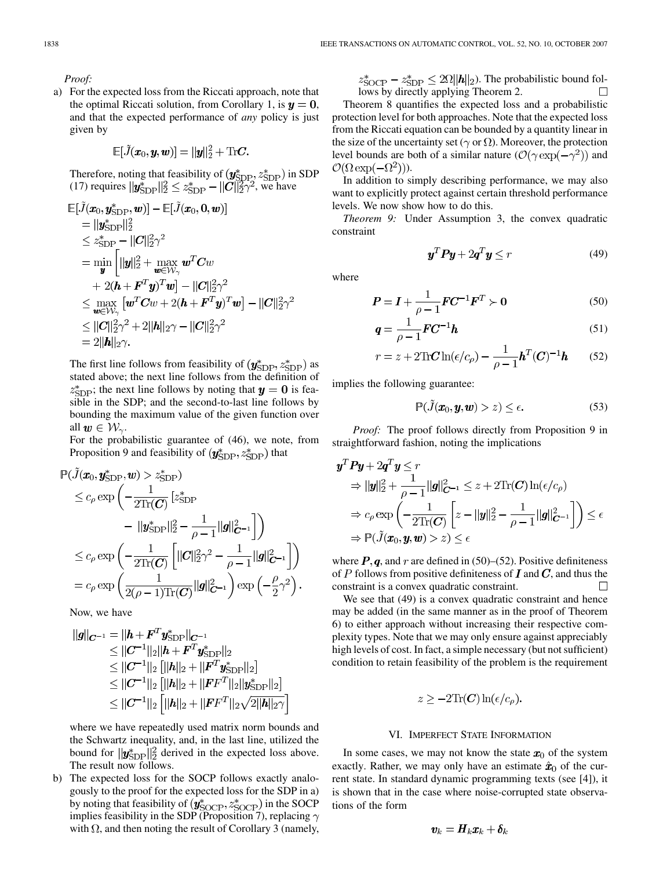*Proof:*

a) For the expected loss from the Riccati approach, note that the optimal Riccati solution, from Corollary 1, is  $y = 0$ , and that the expected performance of *any* policy is just given by

$$
\mathbb{E}[\tilde{J}(\boldsymbol{x}_0,\boldsymbol{y},\boldsymbol{w})]=\|\boldsymbol{y}\|_2^2+\text{Tr}\boldsymbol{C}.
$$

Therefore, noting that feasibility of  $(y_{SDP}^*, z_{SDP}^*)$  in SDP (17) requires  $||y_{SDP}^*||_2^2 \le z_{SDP}^* - ||C||_2^2 \gamma^2$ , we have

$$
\mathbb{E}[\tilde{J}(\pmb{x}_0, \pmb{y}_{\text{SDP}}^*, \pmb{w})] - \mathbb{E}[\tilde{J}(\pmb{x}_0, \pmb{0}, \pmb{w})]
$$
\n
$$
= \|\pmb{y}_{\text{SDP}}^*\|_2^2
$$
\n
$$
\leq z_{\text{SDP}}^* - \|\pmb{C}\|_2^2 \gamma^2
$$
\n
$$
= \min_{\pmb{y}} \left[ \|\pmb{y}\|_2^2 + \max_{\pmb{w} \in \mathcal{W}_{\gamma}} \pmb{w}^T \pmb{C} w
$$
\n
$$
+ 2(\pmb{h} + \pmb{F}^T \pmb{y})^T \pmb{w} \right] - \|\pmb{C}\|_2^2 \gamma^2
$$
\n
$$
\leq \max_{\pmb{w} \in \mathcal{W}_{\gamma}} \left[ \pmb{w}^T \pmb{C} w + 2(\pmb{h} + \pmb{F}^T \pmb{y})^T \pmb{w} \right] - \|\pmb{C}\|_2^2 \gamma^2
$$
\n
$$
\leq \|\pmb{C}\|_2^2 \gamma^2 + 2\|\pmb{h}\|_2 \gamma - \|\pmb{C}\|_2^2 \gamma^2
$$
\n
$$
= 2\|\pmb{h}\|_2 \gamma.
$$

The first line follows from feasibility of  $(y_{SDP}^*, z_{SDP}^*)$  as stated above; the next line follows from the definition of  $z_{SDP}^*$ ; the next line follows by noting that  $y = 0$  is feasible in the SDP; and the second-to-last line follows by bounding the maximum value of the given function over all  $w \in \mathcal{W}_{\gamma}$ .

For the probabilistic guarantee of (46), we note, from Proposition 9 and feasibility of  $(y_{SDP}^*, z_{SDP}^*)$  that

$$
\mathbb{P}(J(\pmb{x}_0, \pmb{y}_{\text{SDP}}^*, \pmb{w}) > z_{\text{SDP}}^*\n) \n\leq c_\rho \exp\left(-\frac{1}{2\text{Tr}(C)} \left[z_{\text{SDP}}^*\right.\\
- \|\pmb{y}_{\text{SDP}}^*\|_2^2 - \frac{1}{\rho - 1} \|\pmb{g}\|_{C^{-1}}^2\right)\n\leq c_\rho \exp\left(-\frac{1}{2\text{Tr}(C)} \left[\|\pmb{C}\|_2^2 \gamma^2 - \frac{1}{\rho - 1} \|\pmb{g}\|_{C^{-1}}^2\right]\right) \n= c_\rho \exp\left(\frac{1}{2(\rho - 1)\text{Tr}(C)} \|\pmb{g}\|_{C^{-1}}^2\right) \exp\left(-\frac{\rho}{2}\gamma^2\right).
$$

Now, we have

$$
||g||_{C^{-1}} = ||h + F^T y^*_{\text{SDP}}||_{C^{-1}}\leq ||C^{-1}||_2 ||h + F^T y^*_{\text{SDP}}||_2\leq ||C^{-1}||_2 [||h||_2 + ||F^T y^*_{\text{SDP}}||_2]\leq ||C^{-1}||_2 [||h||_2 + ||F F^T ||_2 ||y^*_{\text{DDP}}||_2]\leq ||C^{-1}||_2 [||h||_2 + ||F F^T ||_2 \sqrt{2||h||_2 \gamma}]
$$

where we have repeatedly used matrix norm bounds and the Schwartz inequality, and, in the last line, utilized the bound for  $||y^*_{SDP}||_2^2$  derived in the expected loss above. The result now follows.

b) The expected loss for the SOCP follows exactly analogously to the proof for the expected loss for the SDP in a) by noting that feasibility of  $(y^*_{\text{SOCP}}, z^*_{\text{SOCP}})$  in the SOCP implies feasibility in the SDP (Proposition 7), replacing  $\gamma$ with  $\Omega$ , and then noting the result of Corollary 3 (namely,  $z_{\text{SOCP}}^* - z_{\text{SDP}}^* \leq 2\Omega \|\boldsymbol{h}\|_2$ ). The probabilistic bound follows by directly applying Theorem 2.  $\Box$ 

Theorem 8 quantifies the expected loss and a probabilistic protection level for both approaches. Note that the expected loss from the Riccati equation can be bounded by a quantity linear in the size of the uncertainty set ( $\gamma$  or  $\Omega$ ). Moreover, the protection level bounds are both of a similar nature  $(\mathcal{O}(\gamma \exp(-\gamma^2))$  and  $\mathcal{O}(\Omega \exp(-\Omega^2))$ .

In addition to simply describing performance, we may also want to explicitly protect against certain threshold performance levels. We now show how to do this.

*Theorem 9:* Under Assumption 3, the convex quadratic constraint

$$
\mathbf{y}^T P \mathbf{y} + 2 \mathbf{q}^T \mathbf{y} \le r \tag{49}
$$

where

$$
P = I + \frac{1}{\rho - 1} F C^{-1} F^T > 0 \tag{50}
$$

$$
q = \frac{1}{\rho - 1}FC^{-1}h\tag{51}
$$

$$
r = z + 2\text{Tr}\mathbf{C}\ln(\epsilon/c_{\rho}) - \frac{1}{\rho - 1}\mathbf{h}^{T}(\mathbf{C})^{-1}\mathbf{h}
$$
 (52)

implies the following guarantee:

$$
\mathbb{P}(\tilde{J}(\boldsymbol{x}_0,\boldsymbol{y},\boldsymbol{w})>z)\leq\epsilon.\tag{53}
$$

*Proof:* The proof follows directly from Proposition 9 in straightforward fashion, noting the implications

$$
\mathbf{y}^T P \mathbf{y} + 2\mathbf{q}^T \mathbf{y} \le r
$$
  
\n
$$
\Rightarrow ||\mathbf{y}||_2^2 + \frac{1}{\rho - 1} ||\mathbf{g}||_{C^{-1}}^2 \le z + 2 \text{Tr}(C) \ln(\epsilon/c_\rho)
$$
  
\n
$$
\Rightarrow c_\rho \exp\left(-\frac{1}{2 \text{Tr}(C)} \left[z - ||\mathbf{y}||_2^2 - \frac{1}{\rho - 1} ||\mathbf{g}||_{C^{-1}}^2\right]\right) \le \epsilon
$$
  
\n
$$
\Rightarrow \mathbb{P}(\tilde{J}(\mathbf{x}_0, \mathbf{y}, \mathbf{w}) > z) \le \epsilon
$$

where  $P$ ,  $q$ , and  $r$  are defined in (50)–(52). Positive definiteness of P follows from positive definiteness of  $I$  and  $C$ , and thus the constraint is a convex quadratic constraint. П

We see that (49) is a convex quadratic constraint and hence may be added (in the same manner as in the proof of Theorem 6) to either approach without increasing their respective complexity types. Note that we may only ensure against appreciably high levels of cost. In fact, a simple necessary (but not sufficient) condition to retain feasibility of the problem is the requirement

$$
z \geq -2\text{Tr}(C)\ln(\epsilon/c_{\rho}).
$$

## VI. IMPERFECT STATE INFORMATION

In some cases, we may not know the state  $x_0$  of the system exactly. Rather, we may only have an estimate  $\hat{x}_0$  of the current state. In standard dynamic programming texts (see [4]), it is shown that in the case where noise-corrupted state observations of the form

$$
\boldsymbol{v}_k=\boldsymbol{H}_k\boldsymbol{x}_k+\boldsymbol{\delta}_k
$$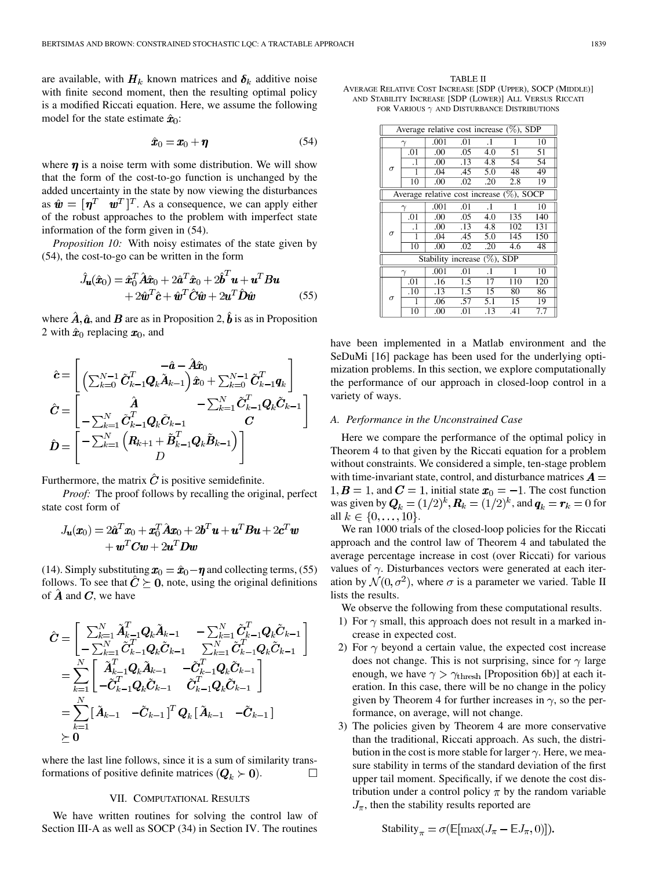are available, with  $H_k$  known matrices and  $\delta_k$  additive noise with finite second moment, then the resulting optimal policy is a modified Riccati equation. Here, we assume the following model for the state estimate  $\hat{x}_0$ :

$$
\hat{x}_0 = x_0 + \eta \tag{54}
$$

where  $\eta$  is a noise term with some distribution. We will show that the form of the cost-to-go function is unchanged by the added uncertainty in the state by now viewing the disturbances as  $\hat{\mathbf{w}} = [\eta^T \quad \mathbf{w}^T]^T$ . As a consequence, we can apply either of the robust approaches to the problem with imperfect state information of the form given in (54).

*Proposition 10:* With noisy estimates of the state given by (54), the cost-to-go can be written in the form

$$
\hat{J}_{\boldsymbol{u}}(\hat{x}_0) = \hat{x}_0^T \hat{A} \hat{x}_0 + 2\hat{a}^T \hat{x}_0 + 2\hat{b}^T \boldsymbol{u} + \boldsymbol{u}^T B \boldsymbol{u} \n+ 2\hat{w}^T \hat{c} + \hat{w}^T \hat{C} \hat{w} + 2\boldsymbol{u}^T \hat{D} \hat{w}
$$
\n(55)

where  $\hat{A}$ ,  $\hat{a}$ , and  $B$  are as in Proposition 2,  $\hat{b}$  is as in Proposition 2 with  $\hat{x}_0$  replacing  $x_0$ , and

$$
\hat{c} = \left[ \begin{matrix} -\hat{a} - \hat{A}\hat{x}_{0} \\ \left(\sum_{k=0}^{N-1} \tilde{C}_{k-1}^{T} Q_{k} \tilde{A}_{k-1}\right) \hat{x}_{0} + \sum_{k=0}^{N-1} \tilde{C}_{k-1}^{T} q_{k} \end{matrix} \right] \n\hat{C} = \left[ \begin{matrix} \hat{A} & -\sum_{k=1}^{N} \tilde{C}_{k-1}^{T} Q_{k} \tilde{C}_{k-1} \\ -\sum_{k=1}^{N} \tilde{C}_{k-1}^{T} Q_{k} \tilde{C}_{k-1} & C \end{matrix} \right] \n\hat{D} = \left[ \begin{matrix} -\sum_{k=1}^{N} \left( R_{k+1} + \tilde{B}_{k-1}^{T} Q_{k} \tilde{B}_{k-1} \right) \\ D \end{matrix} \right]
$$

Furthermore, the matrix  $\hat{C}$  is positive semidefinite.

*Proof:* The proof follows by recalling the original, perfect state cost form of

$$
\begin{aligned} J_{\boldsymbol{u}}(\boldsymbol{x}_0) &= 2\hat{\boldsymbol{a}}^T\boldsymbol{x}_0 + \boldsymbol{x}_0^T\hat{\boldsymbol{A}}\boldsymbol{x}_0 + 2\boldsymbol{b}^T\boldsymbol{u} + \boldsymbol{u}^T\boldsymbol{B}\boldsymbol{u} + 2\boldsymbol{c}^T\boldsymbol{w} \\ &+ \boldsymbol{w}^T\boldsymbol{C}\boldsymbol{w} + 2\boldsymbol{u}^T\boldsymbol{D}\boldsymbol{w} \end{aligned}
$$

(14). Simply substituting  $x_0 = \hat{x}_0 - \eta$  and collecting terms, (55) follows. To see that  $\hat{C} \succeq 0$ , note, using the original definitions of  $\hat{A}$  and  $C$ , we have

$$
\begin{split} \hat{\pmb{C}} &= \begin{bmatrix} \sum_{k=1}^{N} \widetilde{\pmb{A}}_{k-1}^{T} \pmb{Q}_{k} \widetilde{\pmb{A}}_{k-1} & -\sum_{k=1}^{N} \widetilde{\pmb{C}}_{k-1}^{T} \pmb{Q}_{k} \widetilde{\pmb{C}}_{k-1} \\\ -\sum_{k=1}^{N} \widetilde{\pmb{C}}_{k-1}^{T} \pmb{Q}_{k} \widetilde{\pmb{C}}_{k-1} & \sum_{k=1}^{N} \widetilde{\pmb{C}}_{k-1}^{T} \pmb{Q}_{k} \widetilde{\pmb{C}}_{k-1} \end{bmatrix} \\ &= \sum_{k=1}^{N} \begin{bmatrix} \widetilde{\pmb{A}}_{k-1}^{T} \pmb{Q}_{k} \widetilde{\pmb{A}}_{k-1} & -\widetilde{\pmb{C}}_{k-1}^{T} \pmb{Q}_{k} \widetilde{\pmb{C}}_{k-1} \\\ -\widetilde{\pmb{C}}_{k-1}^{T} \pmb{Q}_{k} \widetilde{\pmb{C}}_{k-1} & \widetilde{\pmb{C}}_{k-1}^{T} \pmb{Q}_{k} \widetilde{\pmb{C}}_{k-1} \end{bmatrix} \\ &= \sum_{k=1}^{N} \begin{bmatrix} \widetilde{\pmb{A}}_{k-1} & -\widetilde{\pmb{C}}_{k-1} \end{bmatrix}^{T} \pmb{Q}_{k} \begin{bmatrix} \widetilde{\pmb{A}}_{k-1} & -\widetilde{\pmb{C}}_{k-1} \end{bmatrix} \\ &\succeq \pmb{0} \end{split}
$$

where the last line follows, since it is a sum of similarity transformations of positive definite matrices  $(Q_k \succ 0)$ .  $\Box$ 

# VII. COMPUTATIONAL RESULTS

We have written routines for solving the control law of Section III-A as well as SOCP (34) in Section IV. The routines

TABLE II AVERAGE RELATIVE COST INCREASE [SDP (UPPER), SOCP (MIDDLE)] AND STABILITY INCREASE [SDP (LOWER)] ALL VERSUS RICCATI FOR VARIOUS  $\gamma$  and Disturbance Distributions

| Average relative cost increase $(\%)$ , SDP  |           |      |     |           |     |     |
|----------------------------------------------|-----------|------|-----|-----------|-----|-----|
| $\gamma$                                     |           | .001 | .01 | $\cdot$ 1 |     | 10  |
|                                              | .01       | .00  | .05 | 4.0       | 51  | 51  |
|                                              | . 1       | .00  | .13 | 4.8       | 54  | 54  |
| $\sigma$                                     |           | .04  | .45 | 5.0       | 48  | 49  |
|                                              | 10        | .00  | .02 | .20       | 2.8 | 19  |
| Average relative cost increase $(\%)$ , SOCP |           |      |     |           |     |     |
|                                              | $\gamma$  | .001 | .01 | $\cdot$   |     | 10  |
|                                              | .01       | .00  | .05 | 4.0       | 135 | 140 |
|                                              | $\cdot$ 1 | .00  | .13 | 4.8       | 102 | 131 |
| $\sigma$                                     |           | .04  | .45 | 5.0       | 145 | 150 |
|                                              | 10        | .00  | .02 | .20       | 4.6 | 48  |
| Stability increase $(\%)$ , SDP              |           |      |     |           |     |     |
| $\gamma$                                     |           | .001 | .01 | $\cdot$ 1 |     | 10  |
|                                              | .01       | .16  | 1.5 | 17        | 110 | 120 |
|                                              | .10       | .13  | 1.5 | 15        | 80  | 86  |
| $\sigma$                                     |           | .06  | .57 | 5.1       | 15  | 19  |
|                                              | 10        | .00  | .01 | .13       | .41 | 7.7 |

have been implemented in a Matlab environment and the SeDuMi [16] package has been used for the underlying optimization problems. In this section, we explore computationally the performance of our approach in closed-loop control in a variety of ways.

## *A. Performance in the Unconstrained Case*

Here we compare the performance of the optimal policy in Theorem 4 to that given by the Riccati equation for a problem without constraints. We considered a simple, ten-stage problem with time-invariant state, control, and disturbance matrices  $A =$  $1, B = 1$ , and  $C = 1$ , initial state  $x_0 = -1$ . The cost function was given by  $Q_k = (1/2)^k$ ,  $R_k = (1/2)^k$ , and  $q_k = r_k = 0$  for all  $k \in \{0, \ldots, 10\}.$ 

We ran 1000 trials of the closed-loop policies for the Riccati approach and the control law of Theorem 4 and tabulated the average percentage increase in cost (over Riccati) for various values of  $\gamma$ . Disturbances vectors were generated at each iteration by  $\mathcal{N}(0, \sigma^2)$ , where  $\sigma$  is a parameter we varied. Table II lists the results.

We observe the following from these computational results.

- 1) For  $\gamma$  small, this approach does not result in a marked increase in expected cost.
- 2) For  $\gamma$  beyond a certain value, the expected cost increase does not change. This is not surprising, since for  $\gamma$  large enough, we have  $\gamma > \gamma_{\text{thresh}}$  [Proposition 6b)] at each iteration. In this case, there will be no change in the policy given by Theorem 4 for further increases in  $\gamma$ , so the performance, on average, will not change.
- 3) The policies given by Theorem 4 are more conservative than the traditional, Riccati approach. As such, the distribution in the cost is more stable for larger  $\gamma$ . Here, we measure stability in terms of the standard deviation of the first upper tail moment. Specifically, if we denote the cost distribution under a control policy  $\pi$  by the random variable  $J_{\pi}$ , then the stability results reported are

Stability<sub>$$
\pi
$$</sub> =  $\sigma$ ( $\mathbb{E}[\max(J_{\pi} - \mathbb{E}J_{\pi}, 0)])$ .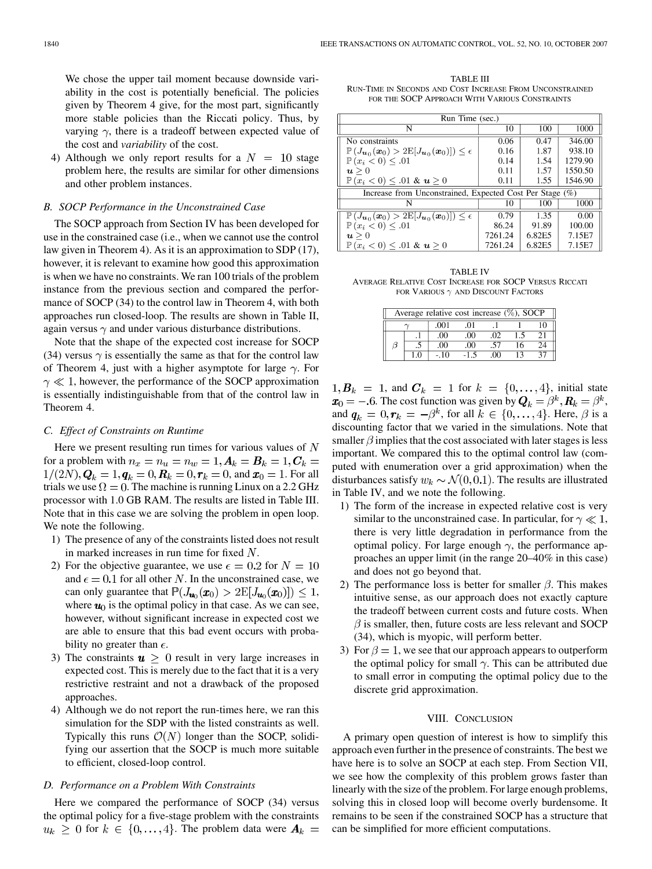We chose the upper tail moment because downside variability in the cost is potentially beneficial. The policies given by Theorem 4 give, for the most part, significantly more stable policies than the Riccati policy. Thus, by varying  $\gamma$ , there is a tradeoff between expected value of the cost and *variability* of the cost.

4) Although we only report results for a  $N = 10$  stage problem here, the results are similar for other dimensions and other problem instances.

#### *B. SOCP Performance in the Unconstrained Case*

The SOCP approach from Section IV has been developed for use in the constrained case (i.e., when we cannot use the control law given in Theorem 4). As it is an approximation to SDP (17), however, it is relevant to examine how good this approximation is when we have no constraints. We ran 100 trials of the problem instance from the previous section and compared the performance of SOCP (34) to the control law in Theorem 4, with both approaches run closed-loop. The results are shown in Table II, again versus  $\gamma$  and under various disturbance distributions.

Note that the shape of the expected cost increase for SOCP (34) versus  $\gamma$  is essentially the same as that for the control law of Theorem 4, just with a higher asymptote for large  $\gamma$ . For  $\gamma \ll 1$ , however, the performance of the SOCP approximation is essentially indistinguishable from that of the control law in Theorem 4.

#### *C. Effect of Constraints on Runtime*

Here we present resulting run times for various values of  $N$ for a problem with  $n_x = n_u = n_w = 1, A_k = B_k = 1, C_k =$  $1/(2N)$ ,  $\mathbf{Q}_k = 1$ ,  $\mathbf{q}_k = 0$ ,  $\mathbf{R}_k = 0$ ,  $\mathbf{r}_k = 0$ , and  $\mathbf{x}_0 = 1$ . For all trials we use  $\Omega = 0$ . The machine is running Linux on a 2.2 GHz processor with 1.0 GB RAM. The results are listed in Table III. Note that in this case we are solving the problem in open loop. We note the following.

- 1) The presence of any of the constraints listed does not result in marked increases in run time for fixed  $N$ .
- 2) For the objective guarantee, we use  $\epsilon = 0.2$  for  $N = 10$ and  $\epsilon = 0.1$  for all other N. In the unconstrained case, we can only guarantee that  $\mathbb{P}(J_{\mathbf{u}_0}(\mathbf{x}_0) > 2E[J_{\mathbf{u}_0}(\mathbf{x}_0)]) \leq 1$ , where  $u_0$  is the optimal policy in that case. As we can see, however, without significant increase in expected cost we are able to ensure that this bad event occurs with probability no greater than  $\epsilon$ .
- 3) The constraints  $\mathbf{u} \geq 0$  result in very large increases in expected cost. This is merely due to the fact that it is a very restrictive restraint and not a drawback of the proposed approaches.
- 4) Although we do not report the run-times here, we ran this simulation for the SDP with the listed constraints as well. Typically this runs  $\mathcal{O}(N)$  longer than the SOCP, solidifying our assertion that the SOCP is much more suitable to efficient, closed-loop control.

# *D. Performance on a Problem With Constraints*

Here we compared the performance of SOCP (34) versus the optimal policy for a five-stage problem with the constraints  $u_k \geq 0$  for  $k \in \{0, \ldots, 4\}$ . The problem data were  $A_k =$ 

TABLE III RUN-TIME IN SECONDS AND COST INCREASE FROM UNCONSTRAINED FOR THE SOCP APPROACH WITH VARIOUS CONSTRAINTS

| Run Time (sec.)                                                                                                                     |         |        |         |  |  |
|-------------------------------------------------------------------------------------------------------------------------------------|---------|--------|---------|--|--|
| N                                                                                                                                   | 10      | 100    | 1000    |  |  |
| No constraints                                                                                                                      | 0.06    | 0.47   | 346.00  |  |  |
| $\mathbb{P}\left(J_{\boldsymbol{u}_0}(\boldsymbol{x}_0) > 2\mathrm{E}[J_{\boldsymbol{u}_0}(\boldsymbol{x}_0)]\right) \leq \epsilon$ | 0.16    | 1.87   | 938.10  |  |  |
| $\mathbb{P}(x_i < 0) \leq .01$                                                                                                      | 0.14    | 1.54   | 1279.90 |  |  |
| $\boldsymbol{u}\geq 0$                                                                                                              | 0.11    | 1.57   | 1550.50 |  |  |
| $\mathbb{P}\left(x_i<0\right)\leq 0.01 \& \mathbf{u}\geq 0$                                                                         | 0.11    | 1.55   | 1546.90 |  |  |
| Increase from Unconstrained, Expected Cost Per Stage (%)                                                                            |         |        |         |  |  |
|                                                                                                                                     | ю       | 100    | 1000    |  |  |
| $\mathbb{P}\left(J_{\boldsymbol{u}_0}(\boldsymbol{x}_0) > 2\mathrm{E}[J_{\boldsymbol{u}_0}(\boldsymbol{x}_0)]\right) \leq \epsilon$ | 0.79    | 1.35   | 0.00    |  |  |
| $\mathbb{P}(x_i < 0) \leq .01$                                                                                                      | 86.24   | 91.89  | 100.00  |  |  |
| $\boldsymbol{u}\geq 0$                                                                                                              | 7261.24 | 6.82E5 | 7.15E7  |  |  |
| $\mathbb{P}\left(x_i<0\right)\leq .01 \& \mathbf{u}\geq 0$                                                                          | 7261.24 | 6.82E5 | 7.15E7  |  |  |

TABLE IV AVERAGE RELATIVE COST INCREASE FOR SOCP VERSUS RICCATI FOR VARIOUS  $\gamma$  and Discount Factors

|  |  | Average relative cost increase $(\%)$ , SOCP |          |     |      |     |  |  |
|--|--|----------------------------------------------|----------|-----|------|-----|--|--|
|  |  | -001                                         |          |     |      |     |  |  |
|  |  |                                              | $\Omega$ | -00 | - 02 | 1.5 |  |  |
|  |  |                                              |          |     |      |     |  |  |
|  |  |                                              |          |     |      |     |  |  |

 $1, B_k = 1$ , and  $C_k = 1$  for  $k = \{0, \ldots, 4\}$ , initial state  $x_0 = -.6$ . The cost function was given by  $Q_k = \beta^k, R_k = \beta^k$ , and  $q_k = 0, r_k = -\beta^k$ , for all  $k \in \{0, ..., 4\}$ . Here,  $\beta$  is a discounting factor that we varied in the simulations. Note that smaller  $\beta$  implies that the cost associated with later stages is less important. We compared this to the optimal control law (computed with enumeration over a grid approximation) when the disturbances satisfy  $w_k \sim \mathcal{N}(0, 0.1)$ . The results are illustrated in Table IV, and we note the following.

- 1) The form of the increase in expected relative cost is very similar to the unconstrained case. In particular, for  $\gamma \ll 1$ , there is very little degradation in performance from the optimal policy. For large enough  $\gamma$ , the performance approaches an upper limit (in the range 20–40% in this case) and does not go beyond that.
- 2) The performance loss is better for smaller  $\beta$ . This makes intuitive sense, as our approach does not exactly capture the tradeoff between current costs and future costs. When  $\beta$  is smaller, then, future costs are less relevant and SOCP (34), which is myopic, will perform better.
- 3) For  $\beta = 1$ , we see that our approach appears to outperform the optimal policy for small  $\gamma$ . This can be attributed due to small error in computing the optimal policy due to the discrete grid approximation.

# VIII. CONCLUSION

A primary open question of interest is how to simplify this approach even further in the presence of constraints. The best we have here is to solve an SOCP at each step. From Section VII, we see how the complexity of this problem grows faster than linearly with the size of the problem. For large enough problems, solving this in closed loop will become overly burdensome. It remains to be seen if the constrained SOCP has a structure that can be simplified for more efficient computations.